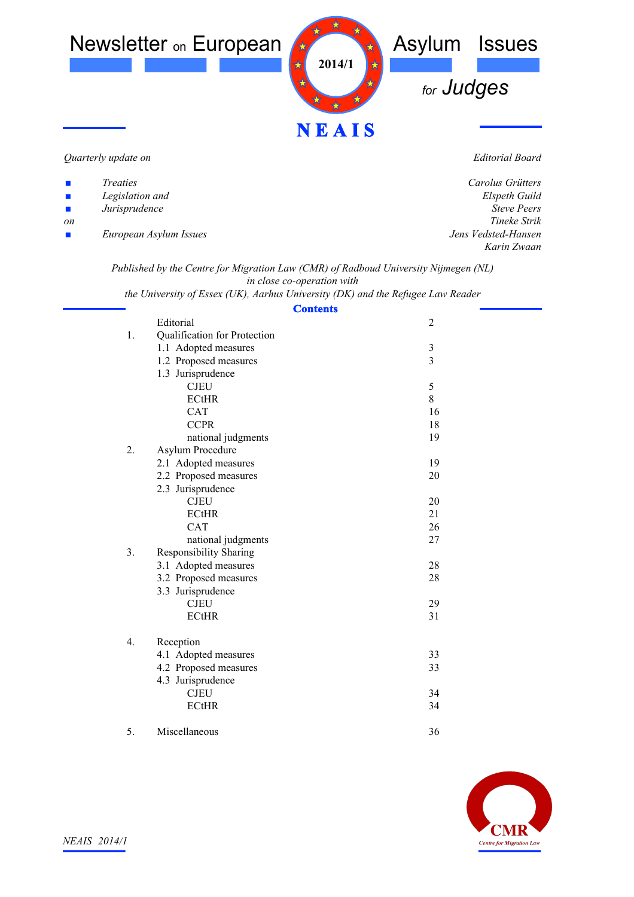

*Quarterly update on*

*Editorial Board*

| $\mathbf{r}$                | <i>Treaties</i>        | Carolus Grütters    |
|-----------------------------|------------------------|---------------------|
| $\mathcal{L}_{\mathcal{A}}$ | Legislation and        | Elspeth Guild       |
| $\mathcal{L}_{\mathcal{A}}$ | Jurisprudence          | <b>Steve Peers</b>  |
| <sub>on</sub>               |                        | Tineke Strik        |
| $\mathbf{r}$                | European Asylum Issues | Jens Vedsted-Hansen |
|                             |                        | Karin Zwaan         |
|                             |                        |                     |

*Published by the Centre for Migration Law (CMR) of Radboud University Nijmegen (NL) in close co-operation with*

*the University of Essex (UK), Aarhus University (DK) and the Refugee Law Reader*

| <b>Contents</b>                                 |                |  |
|-------------------------------------------------|----------------|--|
| Editorial                                       | $\overline{2}$ |  |
| Qualification for Protection<br>1.              |                |  |
| 1.1 Adopted measures                            | $\mathfrak{Z}$ |  |
| 1.2 Proposed measures                           | $\overline{3}$ |  |
| 1.3 Jurisprudence                               |                |  |
| <b>CJEU</b>                                     | $\sqrt{5}$     |  |
| <b>ECtHR</b>                                    | 8              |  |
| <b>CAT</b>                                      | 16             |  |
| <b>CCPR</b>                                     | 18             |  |
| national judgments                              | 19             |  |
| 2.<br>Asylum Procedure                          |                |  |
| 2.1 Adopted measures                            | 19             |  |
| 2.2 Proposed measures                           | 20             |  |
| 2.3 Jurisprudence                               |                |  |
| <b>CJEU</b>                                     | 20             |  |
| <b>ECtHR</b>                                    | 21             |  |
| <b>CAT</b>                                      | 26             |  |
| national judgments                              | 27             |  |
| 3 <sub>1</sub><br><b>Responsibility Sharing</b> |                |  |
| 3.1 Adopted measures                            | 28             |  |
| 3.2 Proposed measures                           | 28             |  |
| 3.3 Jurisprudence                               |                |  |
| <b>CJEU</b>                                     | 29             |  |
| <b>ECtHR</b>                                    | 31             |  |
| 4.<br>Reception                                 |                |  |
| 4.1 Adopted measures                            | 33             |  |
| 4.2 Proposed measures                           | 33             |  |
| 4.3 Jurisprudence                               |                |  |
| <b>CJEU</b>                                     | 34             |  |
| <b>ECtHR</b>                                    | 34             |  |
|                                                 |                |  |
|                                                 |                |  |



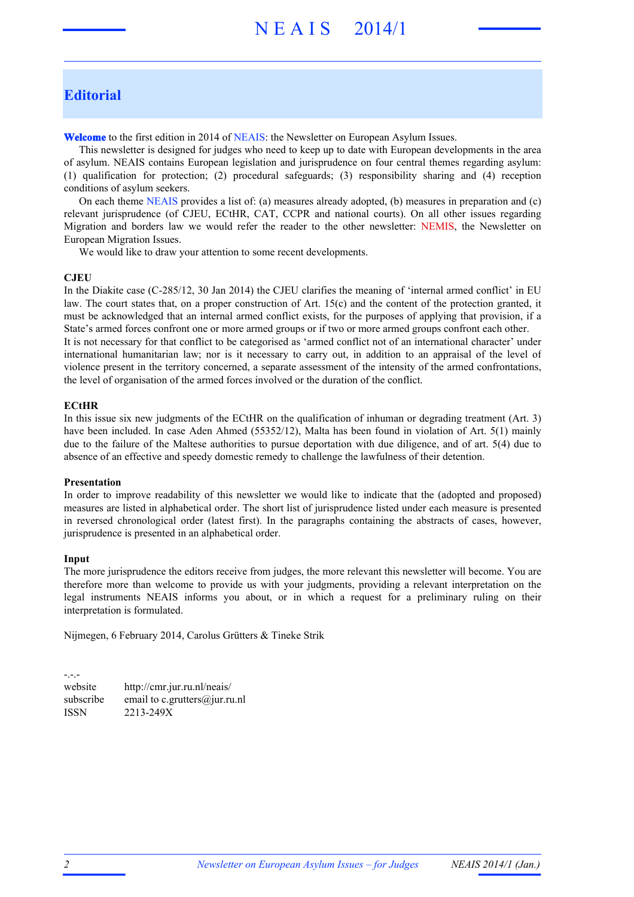# N E A I S 2014/1

# **Editorial**

**Welcome** to the first edition in 2014 of NEAIS: the Newsletter on European Asylum Issues.

This newsletter is designed for judges who need to keep up to date with European developments in the area of asylum. NEAIS contains European legislation and jurisprudence on four central themes regarding asylum: (1) qualification for protection; (2) procedural safeguards; (3) responsibility sharing and (4) reception conditions of asylum seekers.

On each theme NEAIS provides a list of: (a) measures already adopted, (b) measures in preparation and (c) relevant jurisprudence (of CJEU, ECtHR, CAT, CCPR and national courts). On all other issues regarding Migration and borders law we would refer the reader to the other newsletter: NEMIS, the Newsletter on European Migration Issues.

We would like to draw your attention to some recent developments.

#### **CJEU**

In the Diakite case (C-285/12, 30 Jan 2014) the CJEU clarifies the meaning of 'internal armed conflict' in EU law. The court states that, on a proper construction of Art. 15(c) and the content of the protection granted, it must be acknowledged that an internal armed conflict exists, for the purposes of applying that provision, if a State's armed forces confront one or more armed groups or if two or more armed groups confront each other. It is not necessary for that conflict to be categorised as 'armed conflict not of an international character' under international humanitarian law; nor is it necessary to carry out, in addition to an appraisal of the level of violence present in the territory concerned, a separate assessment of the intensity of the armed confrontations, the level of organisation of the armed forces involved or the duration of the conflict.

#### **ECtHR**

In this issue six new judgments of the ECtHR on the qualification of inhuman or degrading treatment (Art. 3) have been included. In case Aden Ahmed (55352/12), Malta has been found in violation of Art. 5(1) mainly due to the failure of the Maltese authorities to pursue deportation with due diligence, and of art. 5(4) due to absence of an effective and speedy domestic remedy to challenge the lawfulness of their detention.

#### **Presentation**

In order to improve readability of this newsletter we would like to indicate that the (adopted and proposed) measures are listed in alphabetical order. The short list of jurisprudence listed under each measure is presented in reversed chronological order (latest first). In the paragraphs containing the abstracts of cases, however, jurisprudence is presented in an alphabetical order.

#### **Input**

-.-.-

The more jurisprudence the editors receive from judges, the more relevant this newsletter will become. You are therefore more than welcome to provide us with your judgments, providing a relevant interpretation on the legal instruments NEAIS informs you about, or in which a request for a preliminary ruling on their interpretation is formulated.

Nijmegen, 6 February 2014, Carolus Grütters & Tineke Strik

website http://cmr.jur.ru.nl/neais/ subscribe email to c. grutters@jur.ru.nl ISSN 2213-249X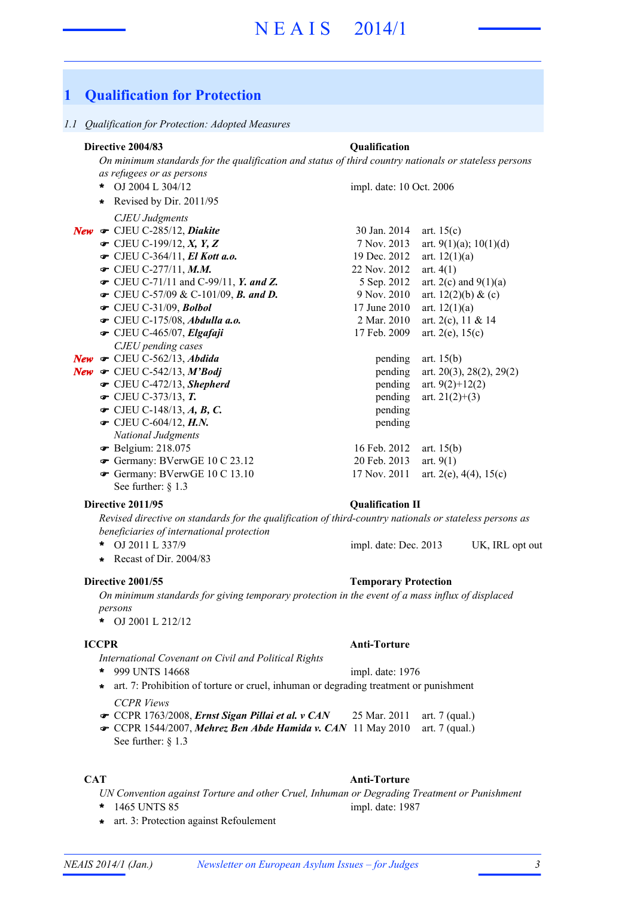# N E A I S 2014/1

# **1 Qualification for Protection**

#### *1.1 Qualification for Protection: Adopted Measures*

## **Directive 2004/83 Qualification**

*On minimum standards for the qualification and status of third country nationals or stateless persons as refugees or as persons*

- OJ 2004 L 304/12 **\*** *CJEU Judgments* **New •** CJEU C-285/12, *Diakite* 30 Jan. 2014 art. 15(c)  $\bullet$  CJEU C-199/12, *X*, *Y*, *Z* 7 Nov. 2013 art. 9(1)(a); 10(1)(d) • CJEU C-364/11, *El Kott a.o.* 19 Dec. 2012 art. 12(1)(a)  $\bullet$  CJEU C-277/11, *M.M.* 22 Nov. 2012 art. 4(1) • CJEU C-71/11 and C-99/11, *Y. and Z.* 5 Sep. 2012 art. 2(c) and 9(1)(a) • CJEU C-57/09 & C-101/09, *B. and D.* 9 Nov. 2010 art. 12(2)(b) & (c)  $\bullet$  CJEU C-31/09, *Bolbol* 17 June 2010 art. 12(1)(a)  $\bullet$  CJEU C-175/08, *Abdulla a.o.* 2 Mar. 2010 art. 2(c), 11 & 14  $\bullet$  CJEU C-465/07, *Elgafaji* 17 Feb. 2009 art. 2(e), 15(c) *CJEU pending cases* **New •** CJEU C-562/13, *Abdida* pending art. 15(b) **New •** CJEU C-542/13, *M'Bodj* pending art. 20(3), 28(2), 29(2)  $\bullet$  CJEU C-472/13, *Shepherd* pending art. 9(2)+12(2)  $\bullet$  CJEU C-373/13, **T.** pending art. 21(2)+(3)  $\bullet$  CJEU C-148/13, A, B, C. pending  $\bullet$  CJEU C-604/12, *H.N.* pending *National Judgments* • Belgium: 218.075 16 Feb. 2012 art. 15(b) • Germany: BVerwGE 10 C 23.12 20 Feb. 2013 art. 9(1) • Germany: BVerwGE 10 C 13.10 17 Nov. 2011 art. 2(e), 4(4), 15(c) impl. date: 10 Oct. 2006 **\*** Revised by Dir. 2011/95
	- See further: § 1.3

#### **Directive 2011/95 Qualification II**

*Revised directive on standards for the qualification of third-country nationals or stateless persons as beneficiaries of international protection*

- **\*** OJ 2011 L 337/9 impl. date: Dec. 2013 UK, IRL opt out
- **\*** Recast of Dir. 2004/83

#### **Directive 2001/55 Temporary Protection**

*On minimum standards for giving temporary protection in the event of a mass influx of displaced persons*

OJ 2001 L 212/12 **\***

#### **ICCPR Anti-Torture**

*International Covenant on Civil and Political Rights*

- 999 UNTS 14668 **\*** impl. date: 1976
- *CCPR Views* **\*** art. 7: Prohibition of torture or cruel, inhuman or degrading treatment or punishment
- **CCPR** 1763/2008, *Ernst Sigan Pillai et al. v CAN* 25 Mar. 2011 art. 7 (qual.)
- CCPR 1544/2007, Mehrez Ben Abde Hamida v. CAN 11 May 2010 art. 7 (qual.)
- See further: § 1.3

#### **CAT Anti-Torture**

- *UN Convention against Torture and other Cruel, Inhuman or Degrading Treatment or Punishment*
- 
- **\*** art. 3: Protection against Refoulement

# **\*** 1465 UNTS 85 impl. date: 1987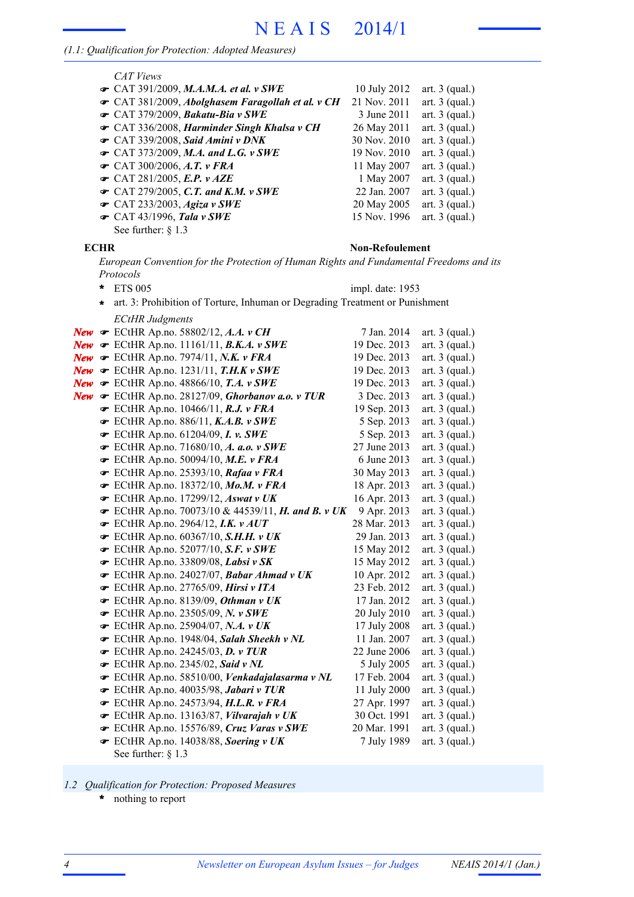## *(1.1: Qualification for Protection: Adopted Measures)*

| CAT Views                                                       |              |                  |
|-----------------------------------------------------------------|--------------|------------------|
| $\bullet$ CAT 391/2009, M.A.M.A. et al. v SWE                   | 10 July 2012 | art. $3$ (qual.) |
| <b>☞</b> CAT 381/2009, <i>Abolghasem Faragollah et al.</i> v CH | 21 Nov. 2011 | art. $3$ (qual.) |
| CAT 379/2009, Bakatu-Bia v SWE                                  | 3 June 2011  | art. $3$ (qual.) |
| <b>☞</b> CAT 336/2008, Harminder Singh Khalsa v CH              | 26 May 2011  | art. $3$ (qual.) |
| CAT 339/2008, Said Amini v DNK                                  | 30 Nov. 2010 | art. $3$ (qual.) |
| $\bullet$ CAT 373/2009, M.A. and L.G. v SWE                     | 19 Nov. 2010 | art. $3$ (qual.) |
| $\bullet$ CAT 300/2006, A.T. v FRA                              | 11 May 2007  | art. $3$ (qual.) |
| $\bullet$ CAT 281/2005, E.P. v AZE                              | 1 May 2007   | art. $3$ (qual.) |
| $\bullet$ CAT 279/2005, C.T. and K.M. v SWE                     | 22 Jan. 2007 | art. $3$ (qual.) |
| $\bullet$ CAT 233/2003, Agiza v SWE                             | 20 May 2005  | art. $3$ (qual.) |
| $\bullet$ CAT 43/1996, Tala v SWE                               | 15 Nov. 1996 | art. $3$ (qual.) |
| See further: $§ 1.3$                                            |              |                  |

#### **ECHR Non-Refoulement**

*European Convention for the Protection of Human Rights and Fundamental Freedoms and its Protocols*

| $\ast$  | <b>ETS 005</b>                                                                    | impl. date: 1953             |                                      |  |  |
|---------|-----------------------------------------------------------------------------------|------------------------------|--------------------------------------|--|--|
| $\star$ | art. 3: Prohibition of Torture, Inhuman or Degrading Treatment or Punishment      |                              |                                      |  |  |
|         | <b>ECtHR Judgments</b>                                                            |                              |                                      |  |  |
|         | <b>New</b> $\mathcal F$ ECtHR Ap.no. 58802/12, A.A. v CH                          | 7 Jan. 2014                  | art. $3$ (qual.)                     |  |  |
|         | New $\mathcal F$ ECtHR Ap.no. 11161/11, B.K.A. v SWE                              | 19 Dec. 2013                 | art. $3$ (qual.)                     |  |  |
|         | New $\mathcal F$ ECtHR Ap.no. 7974/11, N.K. v FRA                                 | 19 Dec. 2013                 | art. $3$ (qual.)                     |  |  |
|         | New $\mathcal \bullet$ ECtHR Ap.no. 1231/11, T.H.K v SWE                          | 19 Dec. 2013                 | art. $3$ (qual.)                     |  |  |
|         | New $\mathcal F$ ECtHR Ap.no. 48866/10, T.A. v SWE                                | 19 Dec. 2013                 | art. $3$ (qual.)                     |  |  |
|         | New $\mathcal F$ ECtHR Ap.no. 28127/09, Ghorbanov a.o. v TUR                      | 3 Dec. 2013                  | art. $3$ (qual.)                     |  |  |
|         | $\bullet$ ECtHR Ap.no. 10466/11, R.J. v FRA                                       | 19 Sep. 2013                 | art. $3$ (qual.)                     |  |  |
|         | $\bullet$ ECtHR Ap.no. 886/11, K.A.B. v SWE                                       | 5 Sep. 2013                  | art. $3$ (qual.)                     |  |  |
|         | $\bullet$ ECtHR Ap.no. 61204/09, I. v. SWE                                        | 5 Sep. 2013                  | art. $3$ (qual.)                     |  |  |
|         | ECtHR Ap.no. 71680/10, A. a.o. $v$ SWE                                            | 27 June 2013                 | art. $3$ (qual.)                     |  |  |
|         | $\bullet$ ECtHR Ap.no. 50094/10, M.E. v FRA                                       | 6 June 2013                  | art. $3$ (qual.)                     |  |  |
|         | FCtHR Ap.no. 25393/10, Rafaa v FRA                                                | 30 May 2013                  | art. $3$ (qual.)                     |  |  |
|         | FCtHR Ap.no. 18372/10, Mo.M. v FRA                                                | 18 Apr. 2013                 | art. $3$ (qual.)                     |  |  |
|         | $\bullet$ ECtHR Ap.no. 17299/12, Aswat v UK                                       | 16 Apr. 2013                 | art. $3$ (qual.)                     |  |  |
|         | ECtHR Ap.no. 70073/10 & 44539/11, <i>H. and B. v UK</i>                           | 9 Apr. 2013                  | art. $3$ (qual.)                     |  |  |
|         | $\bullet$ ECtHR Ap.no. 2964/12, I.K. $v$ AUT                                      | 28 Mar. 2013                 | art. $3$ (qual.)                     |  |  |
|         | $\bullet$ ECtHR Ap.no. 60367/10, S.H.H. v UK                                      | 29 Jan. 2013                 | art. $3$ (qual.)                     |  |  |
|         | $\bullet$ ECtHR Ap.no. 52077/10, S.F. v SWE                                       | 15 May 2012                  | art. $3$ (qual.)                     |  |  |
|         | $\bullet$ ECtHR Ap.no. 33809/08, Labsi v SK                                       | 15 May 2012                  | art. $3$ (qual.)                     |  |  |
|         | ECtHR Ap.no. 24027/07, Babar Ahmad v UK                                           | 10 Apr. 2012                 | art. $3$ (qual.)                     |  |  |
|         | $\bullet$ ECtHR Ap.no. 27765/09, Hirsi v ITA                                      | 23 Feb. 2012                 | art. $3$ (qual.)                     |  |  |
|         | FCtHR Ap.no. 8139/09, Othman v UK                                                 | 17 Jan. 2012                 | art. $3$ (qual.)                     |  |  |
|         | $\bullet$ ECtHR Ap.no. 23505/09, N. v SWE                                         | 20 July 2010                 | art. $3$ (qual.)                     |  |  |
|         | $\bullet$ ECtHR Ap.no. 25904/07, N.A. v UK                                        | 17 July 2008                 | art. $3$ (qual.)                     |  |  |
|         | ECtHR Ap.no. 1948/04, Salah Sheekh v NL                                           | 11 Jan. 2007                 | art. $3$ (qual.)                     |  |  |
|         | $\bullet$ ECtHR Ap.no. 24245/03, D. v TUR                                         | 22 June 2006                 | art. $3$ (qual.)                     |  |  |
|         | $\bullet$ ECtHR Ap.no. 2345/02, Said v NL                                         | 5 July 2005                  | art. $3$ (qual.)                     |  |  |
|         | ECtHR Ap.no. 58510/00, Venkadajalasarma v NL                                      | 17 Feb. 2004                 | art. $3$ (qual.)                     |  |  |
|         | ECtHR Ap.no. 40035/98, Jabari v TUR                                               | 11 July 2000                 | art. $3$ (qual.)                     |  |  |
|         | ECtHR Ap.no. 24573/94, H.L.R. v FRA                                               | 27 Apr. 1997                 | art. $3$ (qual.)                     |  |  |
|         | ECtHR Ap.no. 13163/87, Vilvarajah v UK<br>ECtHR Ap.no. 15576/89, Cruz Varas v SWE | 30 Oct. 1991<br>20 Mar. 1991 | art. $3$ (qual.)<br>art. $3$ (qual.) |  |  |
|         | ECtHR Ap.no. 14038/88, Soering v UK                                               | 7 July 1989                  | art. $3$ (qual.)                     |  |  |
|         | See further: $§ 1.3$                                                              |                              |                                      |  |  |
|         |                                                                                   |                              |                                      |  |  |

- *1.2 Qualification for Protection: Proposed Measures*
	- nothing to report **\***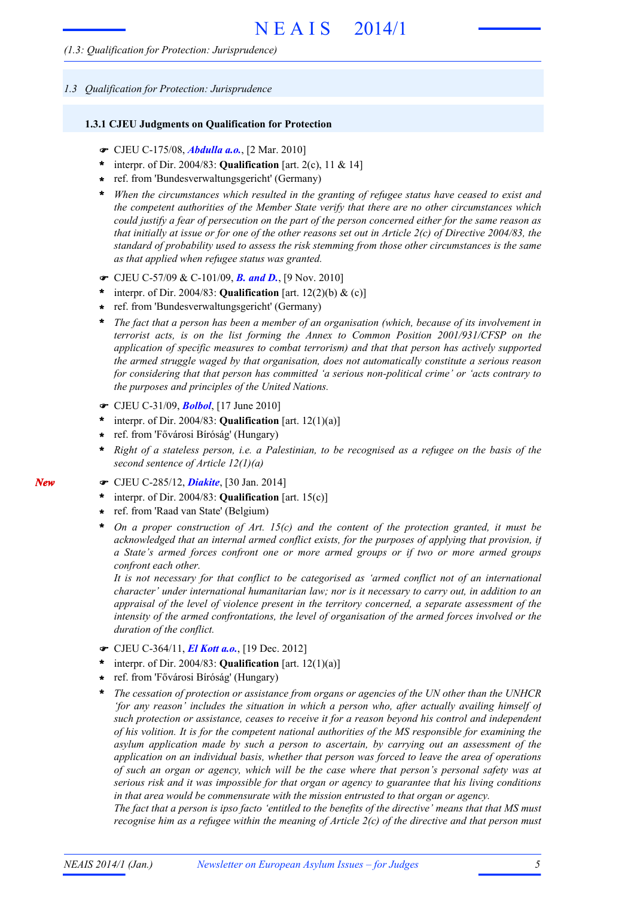#### *1.3 Qualification for Protection: Jurisprudence*

#### **1.3.1 CJEU Judgments on Qualification for Protection**

- F CJEU C-175/08, *Abdulla a.o.*, [2 Mar. 2010]
- \* interpr. of Dir. 2004/83: **Qualification** [art. 2(c), 11 & 14]
- ref. from 'Bundesverwaltungsgericht' (Germany) **\***
- *When the circumstances which resulted in the granting of refugee status have ceased to exist and the competent authorities of the Member State verify that there are no other circumstances which* could justify a fear of persecution on the part of the person concerned either for the same reason as that initially at issue or for one of the other reasons set out in Article  $2(c)$  of Directive 2004/83, the *standard of probability used to assess the risk stemming from those other circumstances is the same as that applied when refugee status was granted.* **\***
- F CJEU C-57/09 & C-101/09, *B. and D.*, [9 Nov. 2010]
- interpr. of Dir. 2004/83: **Qualification** [art. 12(2)(b) & (c)] **\***
- ref. from 'Bundesverwaltungsgericht' (Germany) **\***
- *The fact that a person has been a member of an organisation (which, because of its involvement in terrorist acts, is on the list forming the Annex to Common Position 2001/931/CFSP on the application of specific measures to combat terrorism) and that that person has actively supported the armed struggle waged by that organisation, does not automatically constitute a serious reason for considering that that person has committed 'a serious non-political crime' or 'acts contrary to the purposes and principles of the United Nations.* **\***
- F CJEU C-31/09, *Bolbol*, [17 June 2010]
- \* interpr. of Dir. 2004/83: **Qualification** [art.  $12(1)(a)$ ]
- ref. from 'Fővárosi Bíróság' (Hungary) **\***
- Right of a stateless person, i.e. a Palestinian, to be recognised as a refugee on the basis of the *second sentence of Article 12(1)(a)* **\***
- F CJEU C-285/12, *Diakite*, [30 Jan. 2014]
- interpr. of Dir. 2004/83: **Qualification** [art. 15(c)] **\***
- ref. from 'Raad van State' (Belgium) **\***

*New*

*On a proper construction of Art. 15(c) and the content of the protection granted, it must be acknowledged that an internal armed conflict exists, for the purposes of applying that provision, if a State's armed forces confront one or more armed groups or if two or more armed groups confront each other.* **\***

*It is not necessary for that conflict to be categorised as 'armed conflict not of an international character' under international humanitarian law; nor is it necessary to carry out, in addition to an appraisal of the level of violence present in the territory concerned, a separate assessment of the intensity of the armed confrontations, the level of organisation of the armed forces involved or the duration of the conflict.*

- F CJEU C-364/11, *El Kott a.o.*, [19 Dec. 2012]
- interpr. of Dir. 2004/83: **Qualification** [art. 12(1)(a)] **\***
- ref. from 'Fővárosi Bíróság' (Hungary) **\***
- *The cessation of protection or assistance from organs or agencies of the UN other than the UNHCR 'for any reason' includes the situation in which a person who, after actually availing himself of such protection or assistance, ceases to receive it for a reason beyond his control and independent of his volition. It is for the competent national authorities of the MS responsible for examining the asylum application made by such a person to ascertain, by carrying out an assessment of the application on an individual basis, whether that person was forced to leave the area of operations of such an organ or agency, which will be the case where that person's personal safety was at serious risk and it was impossible for that organ or agency to guarantee that his living conditions in that area would be commensurate with the mission entrusted to that organ or agency.* **\***

The fact that a person is ipso facto 'entitled to the benefits of the directive' means that that MS must recognise him as a refugee within the meaning of Article  $2(c)$  of the directive and that person must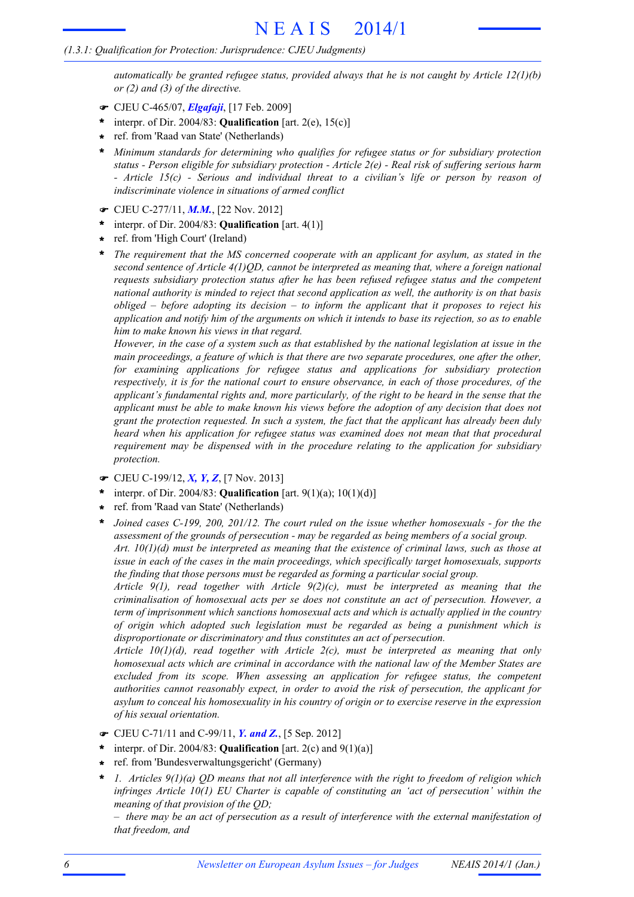*automatically be granted refugee status, provided always that he is not caught by Article 12(1)(b) or (2) and (3) of the directive.*

- F CJEU C-465/07, *Elgafaji*, [17 Feb. 2009]
- \* interpr. of Dir. 2004/83: **Qualification** [art. 2(e),  $15(c)$ ]
- ref. from 'Raad van State' (Netherlands) **\***
- *Minimum standards for determining who qualifies for refugee status or for subsidiary protection status - Person eligible for subsidiary protection - Article 2(e) - Real risk of suffering serious harm - Article 15(c) - Serious and individual threat to a civilian's life or person by reason of indiscriminate violence in situations of armed conflict* **\***
- F CJEU C-277/11, *M.M.*, [22 Nov. 2012]
- interpr. of Dir. 2004/83: **Qualification** [art. 4(1)] **\***
- ref. from 'High Court' (Ireland) **\***
- *The requirement that the MS concerned cooperate with an applicant for asylum, as stated in the second sentence of Article 4(1)QD, cannot be interpreted as meaning that, where a foreign national requests subsidiary protection status after he has been refused refugee status and the competent national authority is minded to reject that second application as well, the authority is on that basis obliged – before adopting its decision – to inform the applicant that it proposes to reject his* application and notify him of the arguments on which it intends to base its rejection, so as to enable *him to make known his views in that regard.* **\***

However, in the case of a system such as that established by the national legislation at issue in the *main proceedings, a feature of which is that there are two separate procedures, one after the other, for examining applications for refugee status and applications for subsidiary protection respectively, it is for the national court to ensure observance, in each of those procedures, of the applicant's fundamental rights and, more particularly, of the right to be heard in the sense that the applicant must be able to make known his views before the adoption of any decision that does not grant the protection requested. In such a system, the fact that the applicant has already been duly heard when his application for refugee status was examined does not mean that that procedural requirement may be dispensed with in the procedure relating to the application for subsidiary protection.*

- F CJEU C-199/12, *X, Y, Z*, [7 Nov. 2013]
- interpr. of Dir. 2004/83: **Qualification** [art. 9(1)(a); 10(1)(d)] **\***
- ref. from 'Raad van State' (Netherlands) **\***
- *Joined cases C-199, 200, 201/12. The court ruled on the issue whether homosexuals - for the the assessment of the grounds of persecution - may be regarded as being members of a social group. Art. 10(1)(d) must be interpreted as meaning that the existence of criminal laws, such as those at* **\***

*issue in each of the cases in the main proceedings, which specifically target homosexuals, supports the finding that those persons must be regarded as forming a particular social group.*

*Article 9(1), read together with Article 9(2)(c), must be interpreted as meaning that the criminalisation of homosexual acts per se does not constitute an act of persecution. However, a term of imprisonment which sanctions homosexual acts and which is actually applied in the country of origin which adopted such legislation must be regarded as being a punishment which is disproportionate or discriminatory and thus constitutes an act of persecution.*

*Article 10(1)(d), read together with Article 2(c), must be interpreted as meaning that only homosexual acts which are criminal in accordance with the national law of the Member States are excluded from its scope. When assessing an application for refugee status, the competent authorities cannot reasonably expect, in order to avoid the risk of persecution, the applicant for asylum to conceal his homosexuality in his country of origin or to exercise reserve in the expression of his sexual orientation.*

- F CJEU C-71/11 and C-99/11, *Y. and Z.*, [5 Sep. 2012]
- interpr. of Dir. 2004/83: **Qualification** [art. 2(c) and 9(1)(a)] **\***
- ref. from 'Bundesverwaltungsgericht' (Germany) **\***
- *1. Articles 9(1)(a) QD means that not all interference with the right to freedom of religion which infringes Article 10(1) EU Charter is capable of constituting an 'act of persecution' within the meaning of that provision of the QD;* **\***

 $-$  there may be an act of persecution as a result of interference with the external manifestation of *that freedom, and*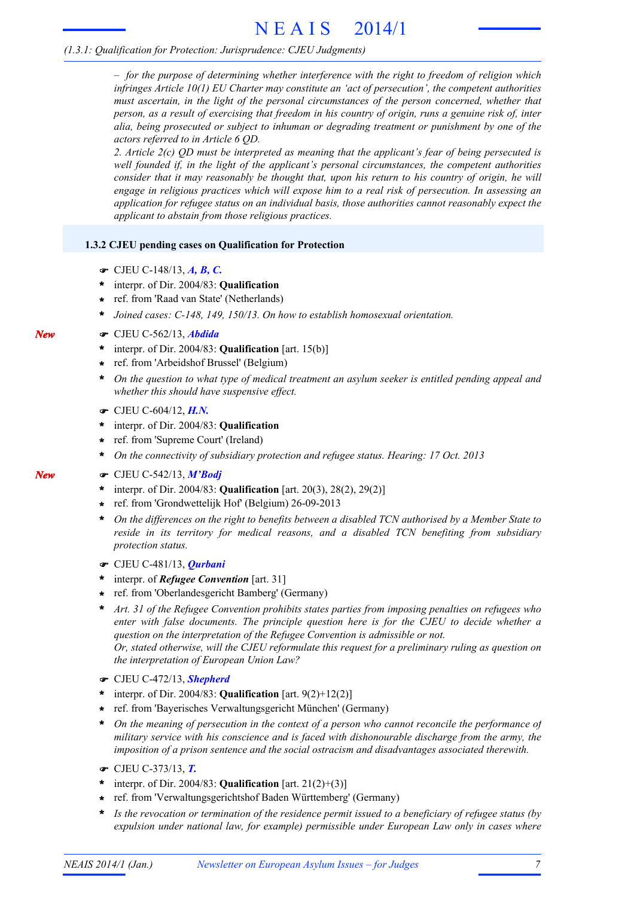# N E A I S 2014/1

# *(1.3.1: Qualification for Protection: Jurisprudence: CJEU Judgments)*

*– for the purpose of determining whether interference with the right to freedom of religion which infringes Article 10(1) EU Charter may constitute an 'act of persecution', the competent authorities must ascertain, in the light of the personal circumstances of the person concerned, whether that* person, as a result of exercising that freedom in his country of origin, runs a genuine risk of, inter *alia, being prosecuted or subject to inhuman or degrading treatment or punishment by one of the actors referred to in Article 6 QD.*

*2. Article 2(c) QD must be interpreted as meaning that the applicant's fear of being persecuted is well founded if, in the light of the applicant's personal circumstances, the competent authorities consider that it may reasonably be thought that, upon his return to his country of origin, he will engage in religious practices which will expose him to a real risk of persecution. In assessing an application for refugee status on an individual basis, those authorities cannot reasonably expect the applicant to abstain from those religious practices.*

# **1.3.2 CJEU pending cases on Qualification for Protection**

- F CJEU C-148/13, *A, B, C.*
- interpr. of Dir. 2004/83: **Qualification \***
- ref. from 'Raad van State' (Netherlands) **\***
- **\*** *Joined cases: C-148, 149, 150/13. On how to establish homosexual orientation.*
- F CJEU C-562/13, *Abdida*
- interpr. of Dir. 2004/83: **Qualification** [art. 15(b)] **\***
- ref. from 'Arbeidshof Brussel' (Belgium) **\***
- \* On the question to what type of medical treatment an asylum seeker is entitled pending appeal and *whether this should have suspensive effect.*
- F CJEU C-604/12, *H.N.*
- interpr. of Dir. 2004/83: **Qualification \***
- ref. from 'Supreme Court' (Ireland) **\***
- **\*** *On the connectivity of subsidiary protection and refugee status. Hearing: 17 Oct. 2013*
- F CJEU C-542/13, *M'Bodj*
- interpr. of Dir. 2004/83: **Qualification** [art. 20(3), 28(2), 29(2)] **\***
- ref. from 'Grondwettelijk Hof' (Belgium) 26-09-2013 **\***
- *On the differences on the right to benefits between a disabled TCN authorised by a Member State to reside in its territory for medical reasons, and a disabled TCN benefiting from subsidiary protection status.* **\***
- F CJEU C-481/13, *Qurbani*
- interpr. of *Refugee Convention* [art. 31] **\***
- ref. from 'Oberlandesgericht Bamberg' (Germany) **\***
- *Art. 31 of the Refugee Convention prohibits states parties from imposing penalties on refugees who enter with false documents. The principle question here is for the CJEU to decide whether a question on the interpretation of the Refugee Convention is admissible or not. Or, stated otherwise, will the CJEU reformulate this request for a preliminary ruling as question on the interpretation of European Union Law?* **\***
- F CJEU C-472/13, *Shepherd*
- \* interpr. of Dir. 2004/83: **Qualification** [art.  $9(2)+12(2)$ ]
- ref. from 'Bayerisches Verwaltungsgericht München' (Germany) **\***
- *On the meaning of persecution in the context of a person who cannot reconcile the performance of* **\*** *military service with his conscience and is faced with dishonourable discharge from the army, the imposition of a prison sentence and the social ostracism and disadvantages associated therewith.*
- F CJEU C-373/13, *T.*
- interpr. of Dir. 2004/83: **Qualification** [art. 21(2)+(3)] **\***
- ref. from 'Verwaltungsgerichtshof Baden Württemberg' (Germany) **\***
- *Is the revocation or termination of the residence permit issued to a beneficiary of refugee status (by expulsion under national law, for example) permissible under European Law only in cases where* **\***

*New*

*New*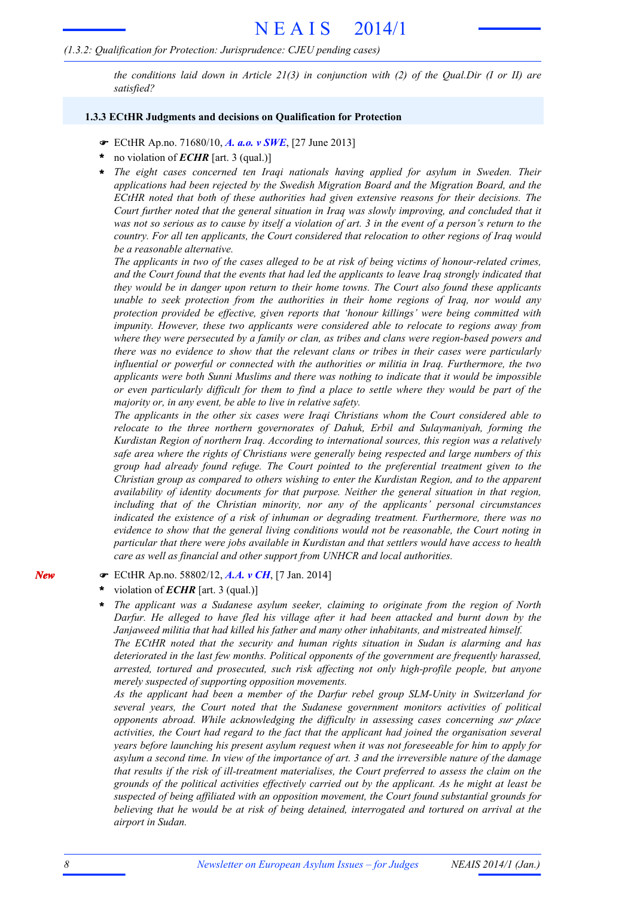### *(1.3.2: Qualification for Protection: Jurisprudence: CJEU pending cases)*

*the conditions laid down in Article 21(3) in conjunction with (2) of the Qual.Dir (I or II) are satisfied?*

#### **1.3.3 ECtHR Judgments and decisions on Qualification for Protection**

- F ECtHR Ap.no. 71680/10, *A. a.o. v SWE*, [27 June 2013]
- no violation of *ECHR* [art. 3 (qual.)] **\***
- *The eight cases concerned ten Iraqi nationals having applied for asylum in Sweden. Their applications had been rejected by the Swedish Migration Board and the Migration Board, and the ECtHR noted that both of these authorities had given extensive reasons for their decisions. The Court further noted that the general situation in Iraq was slowly improving, and concluded that it* was not so serious as to cause by itself a violation of art. 3 in the event of a person's return to the *country. For all ten applicants, the Court considered that relocation to other regions of Iraq would be a reasonable alternative.* **\***

The applicants in two of the cases alleged to be at risk of being victims of honour-related crimes, and the Court found that the events that had led the applicants to leave Iraq strongly indicated that *they would be in danger upon return to their home towns. The Court also found these applicants unable to seek protection from the authorities in their home regions of Iraq, nor would any protection provided be effective, given reports that 'honour killings' were being committed with impunity. However, these two applicants were considered able to relocate to regions away from where they were persecuted by a family or clan, as tribes and clans were region-based powers and there was no evidence to show that the relevant clans or tribes in their cases were particularly influential or powerful or connected with the authorities or militia in Iraq. Furthermore, the two applicants were both Sunni Muslims and there was nothing to indicate that it would be impossible* or even particularly difficult for them to find a place to settle where they would be part of the *majority or, in any event, be able to live in relative safety.*

*The applicants in the other six cases were Iraqi Christians whom the Court considered able to relocate to the three northern governorates of Dahuk, Erbil and Sulaymaniyah, forming the Kurdistan Region of northern Iraq. According to international sources, this region was a relatively safe area where the rights of Christians were generally being respected and large numbers of this group had already found refuge. The Court pointed to the preferential treatment given to the Christian group as compared to others wishing to enter the Kurdistan Region, and to the apparent availability of identity documents for that purpose. Neither the general situation in that region, including that of the Christian minority, nor any of the applicants' personal circumstances indicated the existence of a risk of inhuman or degrading treatment. Furthermore, there was no evidence to show that the general living conditions would not be reasonable, the Court noting in particular that there were jobs available in Kurdistan and that settlers would have access to health care as well as financial and other support from UNHCR and local authorities.*

- F ECtHR Ap.no. 58802/12, *A.A. v CH*, [7 Jan. 2014]
- violation of *ECHR* [art. 3 (qual.)] **\***
- *The applicant was a Sudanese asylum seeker, claiming to originate from the region of North Darfur. He alleged to have fled his village after it had been attacked and burnt down by the Janjaweed militia that had killed his father and many other inhabitants, and mistreated himself. The ECtHR noted that the security and human rights situation in Sudan is alarming and has deteriorated in the last few months. Political opponents of the government are frequently harassed, arrested, tortured and prosecuted, such risk affecting not only high-profile people, but anyone merely suspected of supporting opposition movements.* **\***

*As the applicant had been a member of the Darfur rebel group SLM-Unity in Switzerland for several years, the Court noted that the Sudanese government monitors activities of political opponents abroad. While acknowledging the difficulty in assessing cases concerning sur place activities, the Court had regard to the fact that the applicant had joined the organisation several years before launching his present asylum request when it was not foreseeable for him to apply for* asylum a second time. In view of the importance of art. 3 and the irreversible nature of the damage *that results if the risk of ill-treatment materialises, the Court preferred to assess the claim on the grounds of the political activities effectively carried out by the applicant. As he might at least be suspected of being affiliated with an opposition movement, the Court found substantial grounds for believing that he would be at risk of being detained, interrogated and tortured on arrival at the airport in Sudan.*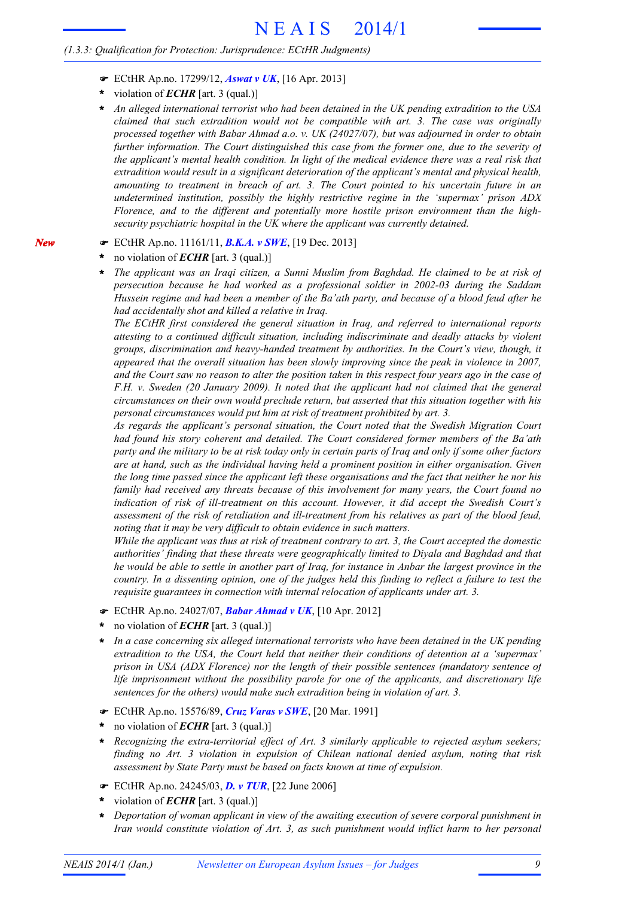- F ECtHR Ap.no. 17299/12, *Aswat v UK*, [16 Apr. 2013]
- violation of *ECHR* [art. 3 (qual.)] **\***
- *An alleged international terrorist who had been detained in the UK pending extradition to the USA* **\*** *claimed that such extradition would not be compatible with art. 3. The case was originally processed together with Babar Ahmad a.o. v. UK (24027/07), but was adjourned in order to obtain further information. The Court distinguished this case from the former one, due to the severity of the applicant's mental health condition. In light of the medical evidence there was a real risk that extradition would result in a significant deterioration of the applicant's mental and physical health, amounting to treatment in breach of art. 3. The Court pointed to his uncertain future in an undetermined institution, possibly the highly restrictive regime in the 'supermax' prison ADX Florence, and to the different and potentially more hostile prison environment than the highsecurity psychiatric hospital in the UK where the applicant was currently detained.*
- F ECtHR Ap.no. 11161/11, *B.K.A. v SWE*, [19 Dec. 2013]
- no violation of *ECHR* [art. 3 (qual.)] **\***

*New*

*The applicant was an Iraqi citizen, a Sunni Muslim from Baghdad. He claimed to be at risk of persecution because he had worked as a professional soldier in 2002-03 during the Saddam* Hussein regime and had been a member of the Ba'ath party, and because of a blood feud after he *had accidentally shot and killed a relative in Iraq.* **\***

*The ECtHR first considered the general situation in Iraq, and referred to international reports attesting to a continued difficult situation, including indiscriminate and deadly attacks by violent groups, discrimination and heavy-handed treatment by authorities. In the Court's view, though, it appeared that the overall situation has been slowly improving since the peak in violence in 2007,* and the Court saw no reason to alter the position taken in this respect four years ago in the case of *F.H. v. Sweden (20 January 2009). It noted that the applicant had not claimed that the general circumstances on their own would preclude return, but asserted that this situation together with his personal circumstances would put him at risk of treatment prohibited by art. 3.*

*As regards the applicant's personal situation, the Court noted that the Swedish Migration Court had found his story coherent and detailed. The Court considered former members of the Ba'ath* party and the military to be at risk today only in certain parts of Iraq and only if some other factors *are at hand, such as the individual having held a prominent position in either organisation. Given* the long time passed since the applicant left these organisations and the fact that neither he nor his *family had received any threats because of this involvement for many years, the Court found no indication of risk of ill-treatment on this account. However, it did accept the Swedish Court's assessment of the risk of retaliation and ill-treatment from his relatives as part of the blood feud, noting that it may be very difficult to obtain evidence in such matters.*

While the applicant was thus at risk of treatment contrary to art. 3, the Court accepted the domestic *authorities' finding that these threats were geographically limited to Diyala and Baghdad and that* he would be able to settle in another part of Iraq, for instance in Anbar the largest province in the country. In a dissenting opinion, one of the judges held this finding to reflect a failure to test the *requisite guarantees in connection with internal relocation of applicants under art. 3.*

- F ECtHR Ap.no. 24027/07, *Babar Ahmad v UK*, [10 Apr. 2012]
- no violation of *ECHR* [art. 3 (qual.)] **\***
- *In a case concerning six alleged international terrorists who have been detained in the UK pending extradition to the USA, the Court held that neither their conditions of detention at a 'supermax' prison in USA (ADX Florence) nor the length of their possible sentences (mandatory sentence of life imprisonment without the possibility parole for one of the applicants, and discretionary life sentences for the others) would make such extradition being in violation of art. 3.* **\***
- F ECtHR Ap.no. 15576/89, *Cruz Varas v SWE*, [20 Mar. 1991]
- no violation of *ECHR* [art. 3 (qual.)] **\***
- *Recognizing the extra-territorial effect of Art. 3 similarly applicable to rejected asylum seekers; finding no Art. 3 violation in expulsion of Chilean national denied asylum, noting that risk assessment by State Party must be based on facts known at time of expulsion.* **\***
- F ECtHR Ap.no. 24245/03, *D. v TUR*, [22 June 2006]
- violation of *ECHR* [art. 3 (qual.)] **\***
- *Deportation of woman applicant in view of the awaiting execution of severe corporal punishment in Iran would constitute violation of Art. 3, as such punishment would inflict harm to her personal* **\***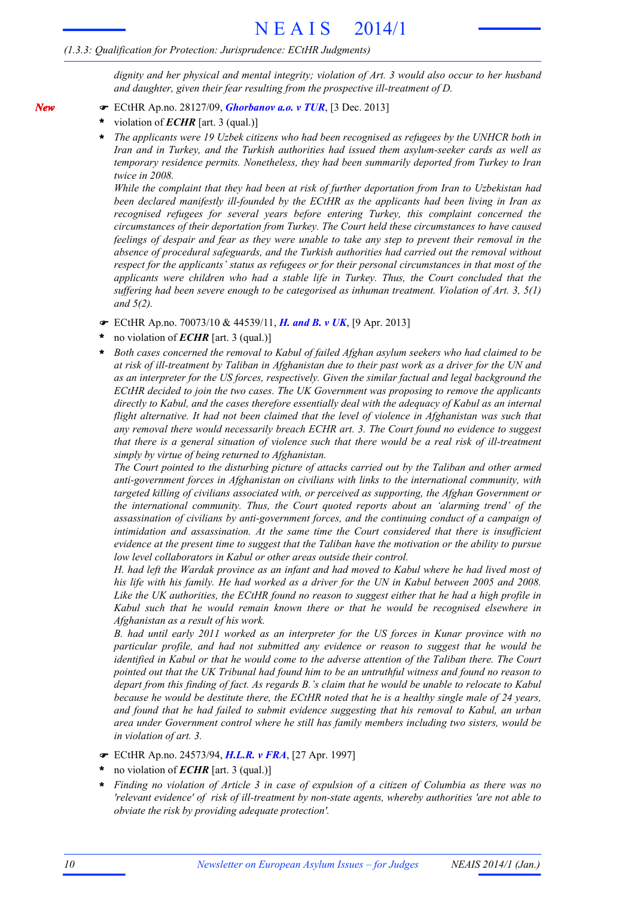*dignity and her physical and mental integrity; violation of Art. 3 would also occur to her husband and daughter, given their fear resulting from the prospective ill-treatment of D.*

- F ECtHR Ap.no. 28127/09, *Ghorbanov a.o. v TUR*, [3 Dec. 2013]
- violation of *ECHR* [art. 3 (qual.)] **\***

*New*

*The applicants were 19 Uzbek citizens who had been recognised as refugees by the UNHCR both in Iran and in Turkey, and the Turkish authorities had issued them asylum-seeker cards as well as temporary residence permits. Nonetheless, they had been summarily deported from Turkey to Iran twice in 2008.* **\***

*While the complaint that they had been at risk of further deportation from Iran to Uzbekistan had been declared manifestly ill-founded by the ECtHR as the applicants had been living in Iran as recognised refugees for several years before entering Turkey, this complaint concerned the circumstances of their deportation from Turkey. The Court held these circumstances to have caused* feelings of despair and fear as they were unable to take any step to prevent their removal in the *absence of procedural safeguards, and the Turkish authorities had carried out the removal without respect for the applicants' status as refugees or for their personal circumstances in that most of the applicants were children who had a stable life in Turkey. Thus, the Court concluded that the suffering had been severe enough to be categorised as inhuman treatment. Violation of Art. 3, 5(1) and 5(2).*

- F ECtHR Ap.no. 70073/10 & 44539/11, *H. and B. v UK*, [9 Apr. 2013]
- no violation of *ECHR* [art. 3 (qual.)] **\***
- *Both cases concerned the removal to Kabul of failed Afghan asylum seekers who had claimed to be* at risk of ill-treatment by Taliban in Afghanistan due to their past work as a driver for the UN and *as an interpreter for the US forces, respectively. Given the similar factual and legal background the ECtHR decided to join the two cases. The UK Government was proposing to remove the applicants directly to Kabul, and the cases therefore essentially deal with the adequacy of Kabul as an internal flight alternative. It had not been claimed that the level of violence in Afghanistan was such that any removal there would necessarily breach ECHR art. 3. The Court found no evidence to suggest* that there is a general situation of violence such that there would be a real risk of ill-treatment *simply by virtue of being returned to Afghanistan.* **\***

*The Court pointed to the disturbing picture of attacks carried out by the Taliban and other armed anti-government forces in Afghanistan on civilians with links to the international community, with targeted killing of civilians associated with, or perceived as supporting, the Afghan Government or the international community. Thus, the Court quoted reports about an 'alarming trend' of the assassination of civilians by anti-government forces, and the continuing conduct of a campaign of intimidation and assassination. At the same time the Court considered that there is insufficient* evidence at the present time to suggest that the Taliban have the motivation or the ability to pursue *low level collaborators in Kabul or other areas outside their control.*

H. had left the Wardak province as an infant and had moved to Kabul where he had lived most of his life with his family. He had worked as a driver for the UN in Kabul between 2005 and 2008. Like the UK authorities, the ECtHR found no reason to suggest either that he had a high profile in *Kabul such that he would remain known there or that he would be recognised elsewhere in Afghanistan as a result of his work.*

*B. had until early 2011 worked as an interpreter for the US forces in Kunar province with no particular profile, and had not submitted any evidence or reason to suggest that he would be identified in Kabul or that he would come to the adverse attention of the Taliban there. The Court* pointed out that the UK Tribunal had found him to be an untruthful witness and found no reason to depart from this finding of fact. As regards B, 's claim that he would be unable to relocate to Kabul because he would be destitute there, the ECtHR noted that he is a healthy single male of 24 years, *and found that he had failed to submit evidence suggesting that his removal to Kabul, an urban area under Government control where he still has family members including two sisters, would be in violation of art. 3.*

- F ECtHR Ap.no. 24573/94, *H.L.R. v FRA*, [27 Apr. 1997]
- no violation of *ECHR* [art. 3 (qual.)] **\***
- Finding no violation of Article 3 in case of expulsion of a citizen of Columbia as there was no *'relevant evidence' of risk of ill-treatment by non-state agents, whereby authorities 'are not able to obviate the risk by providing adequate protection'.* **\***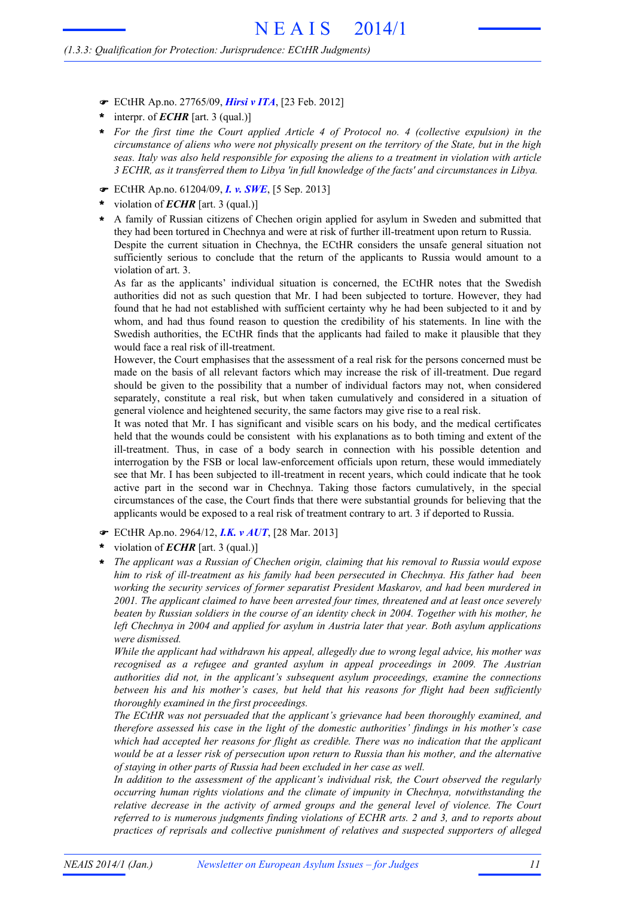- F ECtHR Ap.no. 27765/09, *Hirsi v ITA*, [23 Feb. 2012]
- interpr. of *ECHR* [art. 3 (qual.)] **\***
- *For the first time the Court applied Article 4 of Protocol no. 4 (collective expulsion) in the* **\*** circumstance of aliens who were not physically present on the territory of the State, but in the high *seas. Italy was also held responsible for exposing the aliens to a treatment in violation with article 3 ECHR, as it transferred them to Libya 'in full knowledge of the facts' and circumstances in Libya.*
- F ECtHR Ap.no. 61204/09, *I. v. SWE*, [5 Sep. 2013]
- violation of *ECHR* [art. 3 (qual.)] **\***
- A family of Russian citizens of Chechen origin applied for asylum in Sweden and submitted that they had been tortured in Chechnya and were at risk of further ill-treatment upon return to Russia. Despite the current situation in Chechnya, the ECtHR considers the unsafe general situation not sufficiently serious to conclude that the return of the applicants to Russia would amount to a violation of art. 3. **\***

As far as the applicants' individual situation is concerned, the ECtHR notes that the Swedish authorities did not as such question that Mr. I had been subjected to torture. However, they had found that he had not established with sufficient certainty why he had been subjected to it and by whom, and had thus found reason to question the credibility of his statements. In line with the Swedish authorities, the ECtHR finds that the applicants had failed to make it plausible that they would face a real risk of ill-treatment.

However, the Court emphasises that the assessment of a real risk for the persons concerned must be made on the basis of all relevant factors which may increase the risk of ill-treatment. Due regard should be given to the possibility that a number of individual factors may not, when considered separately, constitute a real risk, but when taken cumulatively and considered in a situation of general violence and heightened security, the same factors may give rise to a real risk.

It was noted that Mr. I has significant and visible scars on his body, and the medical certificates held that the wounds could be consistent with his explanations as to both timing and extent of the ill-treatment. Thus, in case of a body search in connection with his possible detention and interrogation by the FSB or local law-enforcement officials upon return, these would immediately see that Mr. I has been subjected to ill-treatment in recent years, which could indicate that he took active part in the second war in Chechnya. Taking those factors cumulatively, in the special circumstances of the case, the Court finds that there were substantial grounds for believing that the applicants would be exposed to a real risk of treatment contrary to art. 3 if deported to Russia.

- F ECtHR Ap.no. 2964/12, *I.K. v AUT*, [28 Mar. 2013]
- violation of *ECHR* [art. 3 (qual.)] **\***
- *The applicant was a Russian of Chechen origin, claiming that his removal to Russia would expose him to risk of ill-treatment as his family had been persecuted in Chechnya. His father had been working the security services of former separatist President Maskarov, and had been murdered in 2001. The applicant claimed to have been arrested four times, threatened and at least once severely* beaten by Russian soldiers in the course of an identity check in 2004. Together with his mother, he *left Chechnya in 2004 and applied for asylum in Austria later that year. Both asylum applications were dismissed.* **\***

*While the applicant had withdrawn his appeal, allegedly due to wrong legal advice, his mother was recognised as a refugee and granted asylum in appeal proceedings in 2009. The Austrian authorities did not, in the applicant's subsequent asylum proceedings, examine the connections between his and his mother's cases, but held that his reasons for flight had been sufficiently thoroughly examined in the first proceedings.*

*The ECtHR was not persuaded that the applicant's grievance had been thoroughly examined, and therefore assessed his case in the light of the domestic authorities' findings in his mother's case which had accepted her reasons for flight as credible. There was no indication that the applicant* would be at a lesser risk of persecution upon return to Russia than his mother, and the alternative *of staying in other parts of Russia had been excluded in her case as well.*

*In addition to the assessment of the applicant's individual risk, the Court observed the regularly occurring human rights violations and the climate of impunity in Chechnya, notwithstanding the relative decrease in the activity of armed groups and the general level of violence. The Court referred to is numerous judgments finding violations of ECHR arts. 2 and 3, and to reports about practices of reprisals and collective punishment of relatives and suspected supporters of alleged*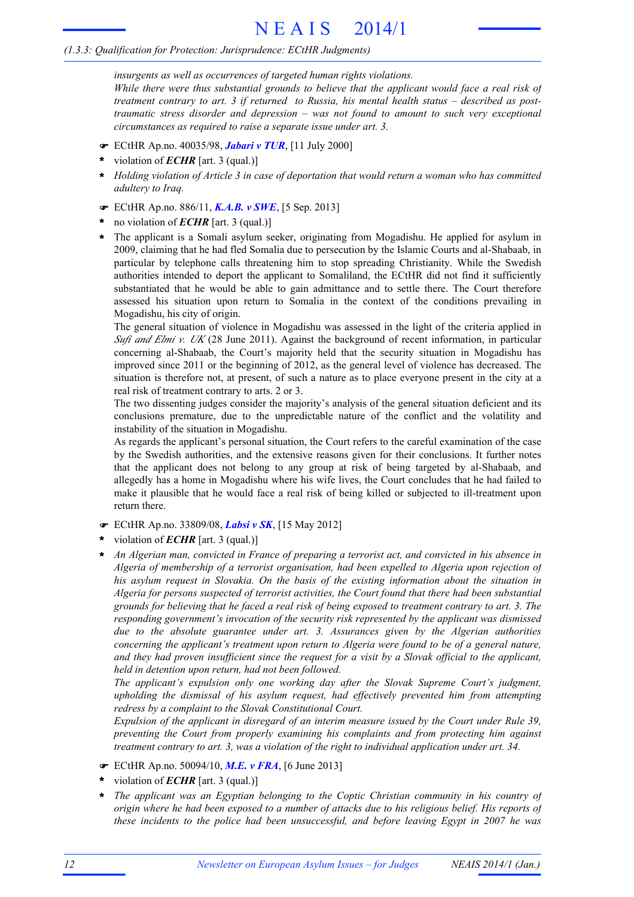# N E A I S 2014/1

## *(1.3.3: Qualification for Protection: Jurisprudence: ECtHR Judgments)*

*insurgents as well as occurrences of targeted human rights violations. While there were thus substantial grounds to believe that the applicant would face a real risk of treatment contrary to art. 3 if returned to Russia, his mental health status – described as posttraumatic stress disorder and depression – was not found to amount to such very exceptional circumstances as required to raise a separate issue under art. 3.*

- F ECtHR Ap.no. 40035/98, *Jabari v TUR*, [11 July 2000]
- violation of *ECHR* [art. 3 (qual.)] **\***
- \* Holding violation of Article 3 in case of deportation that would return a woman who has committed *adultery to Iraq.*
- F ECtHR Ap.no. 886/11, *K.A.B. v SWE*, [5 Sep. 2013]
- no violation of *ECHR* [art. 3 (qual.)] **\***
- The applicant is a Somali asylum seeker, originating from Mogadishu. He applied for asylum in 2009, claiming that he had fled Somalia due to persecution by the Islamic Courts and al-Shabaab, in particular by telephone calls threatening him to stop spreading Christianity. While the Swedish authorities intended to deport the applicant to Somaliland, the ECtHR did not find it sufficiently substantiated that he would be able to gain admittance and to settle there. The Court therefore assessed his situation upon return to Somalia in the context of the conditions prevailing in Mogadishu, his city of origin. **\***

The general situation of violence in Mogadishu was assessed in the light of the criteria applied in *Sufi and Elmi v. UK* (28 June 2011). Against the background of recent information, in particular concerning al-Shabaab, the Court's majority held that the security situation in Mogadishu has improved since 2011 or the beginning of 2012, as the general level of violence has decreased. The situation is therefore not, at present, of such a nature as to place everyone present in the city at a real risk of treatment contrary to arts. 2 or 3.

The two dissenting judges consider the majority's analysis of the general situation deficient and its conclusions premature, due to the unpredictable nature of the conflict and the volatility and instability of the situation in Mogadishu.

As regards the applicant's personal situation, the Court refers to the careful examination of the case by the Swedish authorities, and the extensive reasons given for their conclusions. It further notes that the applicant does not belong to any group at risk of being targeted by al-Shabaab, and allegedly has a home in Mogadishu where his wife lives, the Court concludes that he had failed to make it plausible that he would face a real risk of being killed or subjected to ill-treatment upon return there.

- F ECtHR Ap.no. 33809/08, *Labsi v SK*, [15 May 2012]
- violation of *ECHR* [art. 3 (qual.)] **\***
- *An Algerian man, convicted in France of preparing a terrorist act, and convicted in his absence in Algeria of membership of a terrorist organisation, had been expelled to Algeria upon rejection of his asylum request in Slovakia. On the basis of the existing information about the situation in Algeria for persons suspected of terrorist activities, the Court found that there had been substantial* grounds for believing that he faced a real risk of being exposed to treatment contrary to art. 3. The *responding government's invocation of the security risk represented by the applicant was dismissed due to the absolute guarantee under art. 3. Assurances given by the Algerian authorities concerning the applicant's treatment upon return to Algeria were found to be of a general nature,* and they had proven insufficient since the request for a visit by a Slovak official to the applicant, *held in detention upon return, had not been followed.* **\***

*The applicant's expulsion only one working day after the Slovak Supreme Court's judgment, upholding the dismissal of his asylum request, had effectively prevented him from attempting redress by a complaint to the Slovak Constitutional Court.*

*Expulsion of the applicant in disregard of an interim measure issued by the Court under Rule 39, preventing the Court from properly examining his complaints and from protecting him against treatment contrary to art. 3, was a violation of the right to individual application under art. 34.*

- F ECtHR Ap.no. 50094/10, *M.E. v FRA*, [6 June 2013]
- violation of *ECHR* [art. 3 (qual.)] **\***
- *The applicant was an Egyptian belonging to the Coptic Christian community in his country of* origin where he had been exposed to a number of attacks due to his religious belief. His reports of *these incidents to the police had been unsuccessful, and before leaving Egypt in 2007 he was* **\***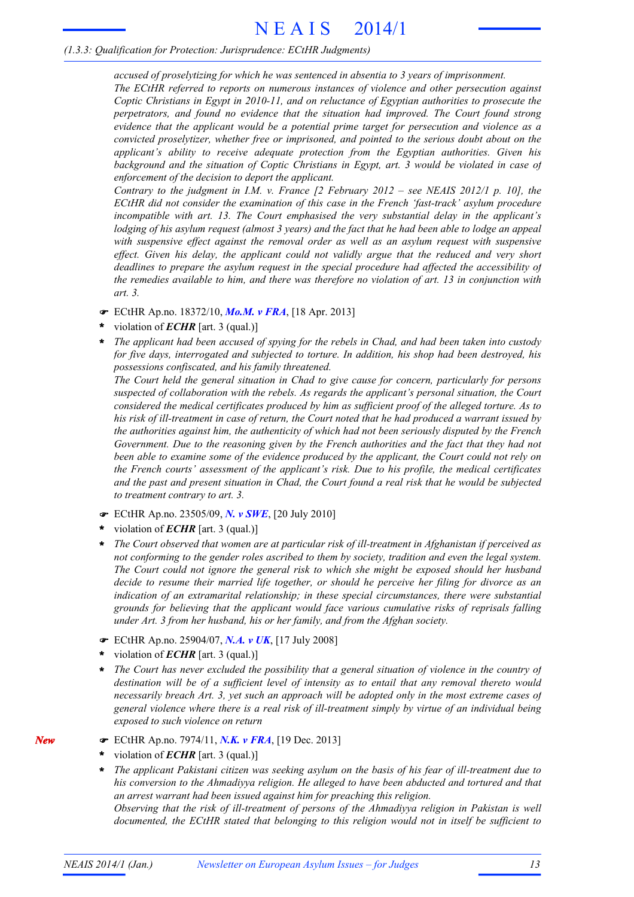*accused of proselytizing for which he was sentenced in absentia to 3 years of imprisonment. The ECtHR referred to reports on numerous instances of violence and other persecution against Coptic Christians in Egypt in 2010-11, and on reluctance of Egyptian authorities to prosecute the perpetrators, and found no evidence that the situation had improved. The Court found strong evidence that the applicant would be a potential prime target for persecution and violence as a convicted proselytizer, whether free or imprisoned, and pointed to the serious doubt about on the applicant's ability to receive adequate protection from the Egyptian authorities. Given his background and the situation of Coptic Christians in Egypt, art. 3 would be violated in case of enforcement of the decision to deport the applicant.*

*Contrary to the judgment in I.M. v. France [2 February 2012 – see NEAIS 2012/1 p. 10], the ECtHR did not consider the examination of this case in the French 'fast-track' asylum procedure incompatible with art. 13. The Court emphasised the very substantial delay in the applicant's* lodging of his asylum request (almost 3 years) and the fact that he had been able to lodge an appeal *with suspensive effect against the removal order as well as an asylum request with suspensive effect. Given his delay, the applicant could not validly argue that the reduced and very short deadlines to prepare the asylum request in the special procedure had affected the accessibility of the remedies available to him, and there was therefore no violation of art. 13 in conjunction with art. 3.*

- F ECtHR Ap.no. 18372/10, *Mo.M. v FRA*, [18 Apr. 2013]
- violation of *ECHR* [art. 3 (qual.)] **\***
- \* The applicant had been accused of spying for the rebels in Chad, and had been taken into custody *for five days, interrogated and subjected to torture. In addition, his shop had been destroyed, his possessions confiscated, and his family threatened.*

*The Court held the general situation in Chad to give cause for concern, particularly for persons suspected of collaboration with the rebels. As regards the applicant's personal situation, the Court considered the medical certificates produced by him as sufficient proof of the alleged torture. As to* his risk of ill-treatment in case of return, the Court noted that he had produced a warrant issued by *the authorities against him, the authenticity of which had not been seriously disputed by the French Government. Due to the reasoning given by the French authorities and the fact that they had not been able to examine some of the evidence produced by the applicant, the Court could not rely on the French courts' assessment of the applicant's risk. Due to his profile, the medical certificates* and the past and present situation in Chad, the Court found a real risk that he would be subjected *to treatment contrary to art. 3.*

- F ECtHR Ap.no. 23505/09, *N. v SWE*, [20 July 2010]
- violation of *ECHR* [art. 3 (qual.)] **\***
- *The Court observed that women are at particular risk of ill-treatment in Afghanistan if perceived as not conforming to the gender roles ascribed to them by society, tradition and even the legal system. The Court could not ignore the general risk to which she might be exposed should her husband decide to resume their married life together, or should he perceive her filing for divorce as an indication of an extramarital relationship; in these special circumstances, there were substantial grounds for believing that the applicant would face various cumulative risks of reprisals falling under Art. 3 from her husband, his or her family, and from the Afghan society.* **\***
- F ECtHR Ap.no. 25904/07, *N.A. v UK*, [17 July 2008]
- violation of *ECHR* [art. 3 (qual.)] **\***
- *The Court has never excluded the possibility that a general situation of violence in the country of destination will be of a sufficient level of intensity as to entail that any removal thereto would necessarily breach Art. 3, yet such an approach will be adopted only in the most extreme cases of general violence where there is a real risk of ill-treatment simply by virtue of an individual being exposed to such violence on return* **\***
- F ECtHR Ap.no. 7974/11, *N.K. v FRA*, [19 Dec. 2013]
- violation of *ECHR* [art. 3 (qual.)] **\***
- *The applicant Pakistani citizen was seeking asylum on the basis of his fear of ill-treatment due to his conversion to the Ahmadiyya religion. He alleged to have been abducted and tortured and that an arrest warrant had been issued against him for preaching this religion. Observing that the risk of ill-treatment of persons of the Ahmadiyya religion in Pakistan is well documented, the ECtHR stated that belonging to this religion would not in itself be sufficient to* **\***

*New*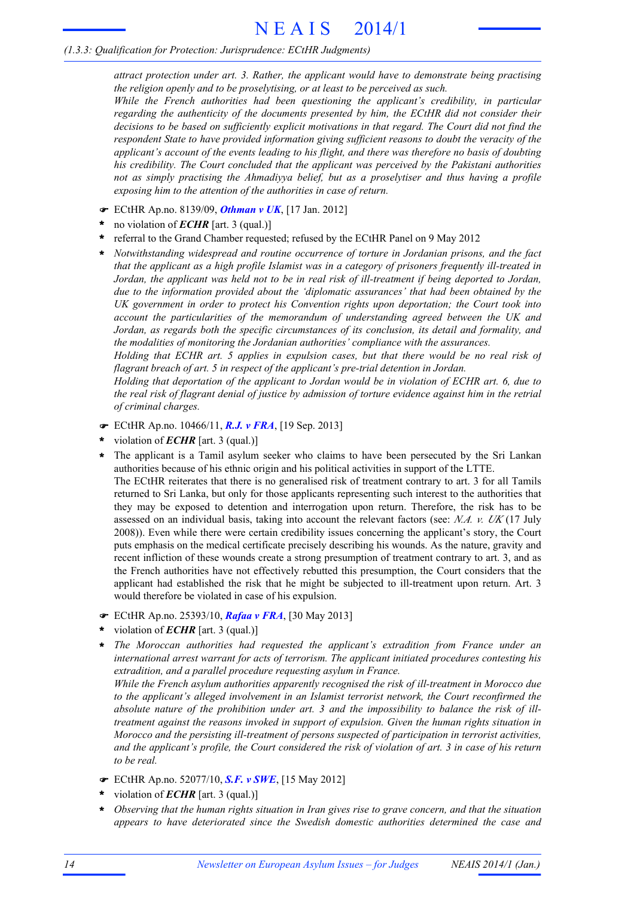*attract protection under art. 3. Rather, the applicant would have to demonstrate being practising the religion openly and to be proselytising, or at least to be perceived as such.*

*While the French authorities had been questioning the applicant's credibility, in particular regarding the authenticity of the documents presented by him, the ECtHR did not consider their decisions to be based on sufficiently explicit motivations in that regard. The Court did not find the respondent State to have provided information giving sufficient reasons to doubt the veracity of the applicant's account of the events leading to his flight, and there was therefore no basis of doubting his credibility. The Court concluded that the applicant was perceived by the Pakistani authorities not as simply practising the Ahmadiyya belief, but as a proselytiser and thus having a profile exposing him to the attention of the authorities in case of return.*

- F ECtHR Ap.no. 8139/09, *Othman v UK*, [17 Jan. 2012]
- no violation of *ECHR* [art. 3 (qual.)] **\***
- referral to the Grand Chamber requested; refused by the ECtHR Panel on 9 May 2012 **\***
- *Notwithstanding widespread and routine occurrence of torture in Jordanian prisons, and the fact that the applicant as a high profile Islamist was in a category of prisoners frequently ill-treated in* Jordan, the applicant was held not to be in real risk of ill-treatment if being deported to Jordan, *due to the information provided about the 'diplomatic assurances' that had been obtained by the UK government in order to protect his Convention rights upon deportation; the Court took into account the particularities of the memorandum of understanding agreed between the UK and Jordan, as regards both the specific circumstances of its conclusion, its detail and formality, and the modalities of monitoring the Jordanian authorities' compliance with the assurances.* **\***

*Holding that ECHR art. 5 applies in expulsion cases, but that there would be no real risk of flagrant breach of art. 5 in respect of the applicant's pre-trial detention in Jordan.*

*Holding that deportation of the applicant to Jordan would be in violation of ECHR art. 6, due to* the real risk of flagrant denial of justice by admission of torture evidence against him in the retrial *of criminal charges.*

- F ECtHR Ap.no. 10466/11, *R.J. v FRA*, [19 Sep. 2013]
- violation of *ECHR* [art. 3 (qual.)] **\***
- The applicant is a Tamil asylum seeker who claims to have been persecuted by the Sri Lankan authorities because of his ethnic origin and his political activities in support of the LTTE. The ECtHR reiterates that there is no generalised risk of treatment contrary to art. 3 for all Tamils returned to Sri Lanka, but only for those applicants representing such interest to the authorities that they may be exposed to detention and interrogation upon return. Therefore, the risk has to be assessed on an individual basis, taking into account the relevant factors (see: *N.A. v. UK* (17 July 2008)). Even while there were certain credibility issues concerning the applicant's story, the Court puts emphasis on the medical certificate precisely describing his wounds. As the nature, gravity and recent infliction of these wounds create a strong presumption of treatment contrary to art. 3, and as the French authorities have not effectively rebutted this presumption, the Court considers that the applicant had established the risk that he might be subjected to ill-treatment upon return. Art. 3 would therefore be violated in case of his expulsion. **\***
- F ECtHR Ap.no. 25393/10, *Rafaa v FRA*, [30 May 2013]
- violation of *ECHR* [art. 3 (qual.)] **\***
- *The Moroccan authorities had requested the applicant's extradition from France under an* **\*** *international arrest warrant for acts of terrorism. The applicant initiated procedures contesting his extradition, and a parallel procedure requesting asylum in France.*

*While the French asylum authorities apparently recognised the risk of ill-treatment in Morocco due to the applicant's alleged involvement in an Islamist terrorist network, the Court reconfirmed the absolute nature of the prohibition under art. 3 and the impossibility to balance the risk of illtreatment against the reasons invoked in support of expulsion. Given the human rights situation in Morocco and the persisting ill-treatment of persons suspected of participation in terrorist activities,* and the applicant's profile, the Court considered the risk of violation of art. 3 in case of his return *to be real.*

- F ECtHR Ap.no. 52077/10, *S.F. v SWE*, [15 May 2012]
- violation of *ECHR* [art. 3 (qual.)] **\***
- *Observing that the human rights situation in Iran gives rise to grave concern, and that the situation appears to have deteriorated since the Swedish domestic authorities determined the case and* **\***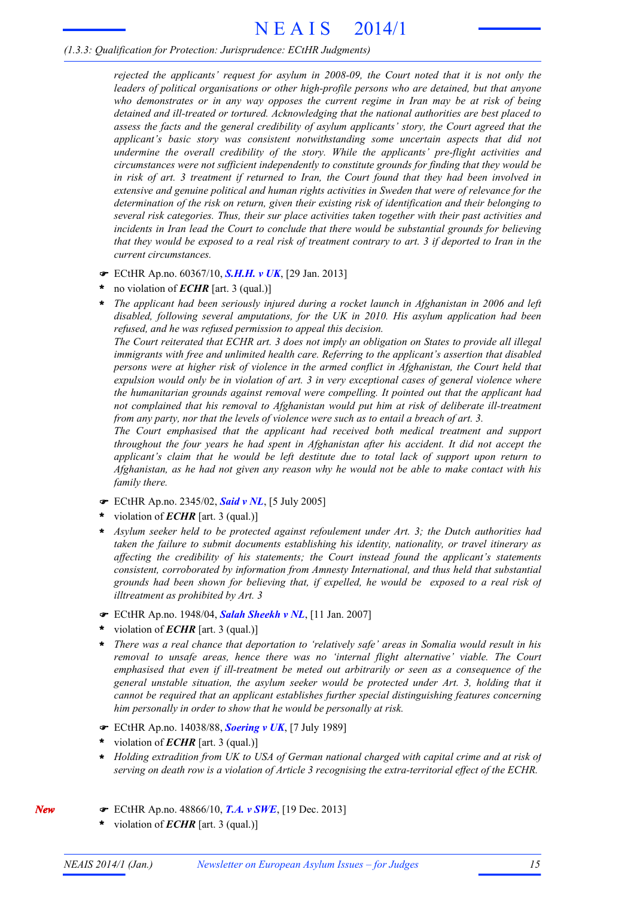# N E A I S 2014/1

# *(1.3.3: Qualification for Protection: Jurisprudence: ECtHR Judgments)*

*rejected the applicants' request for asylum in 2008-09, the Court noted that it is not only the leaders of political organisations or other high-profile persons who are detained, but that anyone who demonstrates or in any way opposes the current regime in Iran may be at risk of being detained and ill-treated or tortured. Acknowledging that the national authorities are best placed to assess the facts and the general credibility of asylum applicants' story, the Court agreed that the applicant's basic story was consistent notwithstanding some uncertain aspects that did not undermine the overall credibility of the story. While the applicants' pre-flight activities and circumstances were not sufficient independently to constitute grounds for finding that they would be* in risk of art. 3 treatment if returned to Iran, the Court found that they had been involved in *extensive and genuine political and human rights activities in Sweden that were of relevance for the determination of the risk on return, given their existing risk of identification and their belonging to several risk categories. Thus, their sur place activities taken together with their past activities and incidents in Iran lead the Court to conclude that there would be substantial grounds for believing* that they would be exposed to a real risk of treatment contrary to art. 3 if deported to Iran in the *current circumstances.*

- F ECtHR Ap.no. 60367/10, *S.H.H. v UK*, [29 Jan. 2013]
- no violation of *ECHR* [art. 3 (qual.)] **\***
- *The applicant had been seriously injured during a rocket launch in Afghanistan in 2006 and left disabled, following several amputations, for the UK in 2010. His asylum application had been refused, and he was refused permission to appeal this decision.* **\***

The Court reiterated that ECHR art. 3 does not imply an obligation on States to provide all illegal *immigrants with free and unlimited health care. Referring to the applicant's assertion that disabled persons were at higher risk of violence in the armed conflict in Afghanistan, the Court held that expulsion would only be in violation of art. 3 in very exceptional cases of general violence where the humanitarian grounds against removal were compelling. It pointed out that the applicant had not complained that his removal to Afghanistan would put him at risk of deliberate ill-treatment from any party, nor that the levels of violence were such as to entail a breach of art. 3.*

*The Court emphasised that the applicant had received both medical treatment and support throughout the four years he had spent in Afghanistan after his accident. It did not accept the applicant's claim that he would be left destitute due to total lack of support upon return to* Afghanistan, as he had not given any reason why he would not be able to make contact with his *family there.*

- F ECtHR Ap.no. 2345/02, *Said v NL*, [5 July 2005]
- violation of *ECHR* [art. 3 (qual.)] **\***
- *Asylum seeker held to be protected against refoulement under Art. 3; the Dutch authorities had taken the failure to submit documents establishing his identity, nationality, or travel itinerary as affecting the credibility of his statements; the Court instead found the applicant's statements consistent, corroborated by information from Amnesty International, and thus held that substantial grounds had been shown for believing that, if expelled, he would be exposed to a real risk of illtreatment as prohibited by Art. 3* **\***
- F ECtHR Ap.no. 1948/04, *Salah Sheekh v NL*, [11 Jan. 2007]
- violation of *ECHR* [art. 3 (qual.)] **\***
- *There was a real chance that deportation to 'relatively safe' areas in Somalia would result in his removal to unsafe areas, hence there was no 'internal flight alternative' viable. The Court emphasised that even if ill-treatment be meted out arbitrarily or seen as a consequence of the general unstable situation, the asylum seeker would be protected under Art. 3, holding that it cannot be required that an applicant establishes further special distinguishing features concerning him personally in order to show that he would be personally at risk.* **\***
- F ECtHR Ap.no. 14038/88, *Soering v UK*, [7 July 1989]
- violation of *ECHR* [art. 3 (qual.)] **\***
- *Holding extradition from UK to USA of German national charged with capital crime and at risk of serving on death row is a violation of Article 3 recognising the extra-territorial effect of the ECHR.* **\***
- F ECtHR Ap.no. 48866/10, *T.A. v SWE*, [19 Dec. 2013]
- violation of *ECHR* [art. 3 (qual.)] **\***

*New*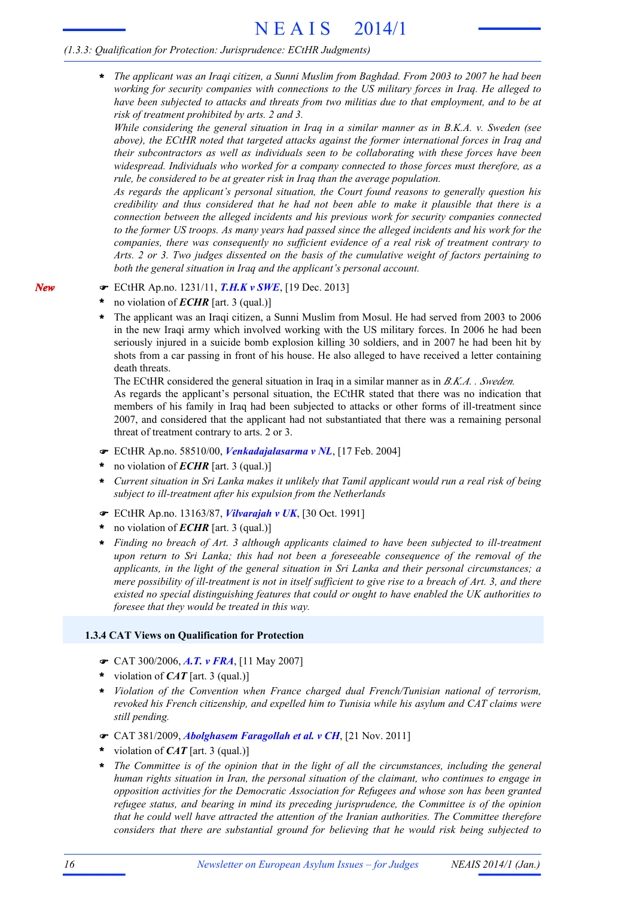*The applicant was an Iraqi citizen, a Sunni Muslim from Baghdad. From 2003 to 2007 he had been working for security companies with connections to the US military forces in Iraq. He alleged to have been subjected to attacks and threats from two militias due to that employment, and to be at risk of treatment prohibited by arts. 2 and 3.* **\***

*While considering the general situation in Iraq in a similar manner as in B.K.A. v. Sweden (see above), the ECtHR noted that targeted attacks against the former international forces in Iraq and their subcontractors as well as individuals seen to be collaborating with these forces have been widespread. Individuals who worked for a company connected to those forces must therefore, as a rule, be considered to be at greater risk in Iraq than the average population.*

*As regards the applicant's personal situation, the Court found reasons to generally question his credibility and thus considered that he had not been able to make it plausible that there is a connection between the alleged incidents and his previous work for security companies connected* to the former US troops. As many years had passed since the alleged incidents and his work for the *companies, there was consequently no sufficient evidence of a real risk of treatment contrary to Arts. 2 or 3. Two judges dissented on the basis of the cumulative weight of factors pertaining to both the general situation in Iraq and the applicant's personal account.*

- F ECtHR Ap.no. 1231/11, *T.H.K v SWE*, [19 Dec. 2013]
- no violation of *ECHR* [art. 3 (qual.)] **\***
- The applicant was an Iraqi citizen, a Sunni Muslim from Mosul. He had served from 2003 to 2006 in the new Iraqi army which involved working with the US military forces. In 2006 he had been seriously injured in a suicide bomb explosion killing 30 soldiers, and in 2007 he had been hit by shots from a car passing in front of his house. He also alleged to have received a letter containing death threats. **\***

The ECtHR considered the general situation in Iraq in a similar manner as in *B.K.A. . Sweden.* As regards the applicant's personal situation, the ECtHR stated that there was no indication that members of his family in Iraq had been subjected to attacks or other forms of ill-treatment since 2007, and considered that the applicant had not substantiated that there was a remaining personal threat of treatment contrary to arts. 2 or 3.

- F ECtHR Ap.no. 58510/00, *Venkadajalasarma v NL*, [17 Feb. 2004]
- no violation of *ECHR* [art. 3 (qual.)] **\***
- Current situation in Sri Lanka makes it unlikely that Tamil applicant would run a real risk of being *subject to ill-treatment after his expulsion from the Netherlands* **\***
- F ECtHR Ap.no. 13163/87, *Vilvarajah v UK*, [30 Oct. 1991]
- no violation of *ECHR* [art. 3 (qual.)] **\***
- *Finding no breach of Art. 3 although applicants claimed to have been subjected to ill-treatment upon return to Sri Lanka; this had not been a foreseeable consequence of the removal of the applicants, in the light of the general situation in Sri Lanka and their personal circumstances; a* mere possibility of ill-treatment is not in itself sufficient to give rise to a breach of Art. 3, and there *existed no special distinguishing features that could or ought to have enabled the UK authorities to foresee that they would be treated in this way.* **\***

# **1.3.4 CAT Views on Qualification for Protection**

- F CAT 300/2006, *A.T. v FRA*, [11 May 2007]
- violation of *CAT* [art. 3 (qual.)] **\***
- *Violation of the Convention when France charged dual French/Tunisian national of terrorism, revoked his French citizenship, and expelled him to Tunisia while his asylum and CAT claims were still pending.* **\***
- F CAT 381/2009, *Abolghasem Faragollah et al. v CH*, [21 Nov. 2011]
- violation of *CAT* [art. 3 (qual.)] **\***
- *The Committee is of the opinion that in the light of all the circumstances, including the general human rights situation in Iran, the personal situation of the claimant, who continues to engage in opposition activities for the Democratic Association for Refugees and whose son has been granted refugee status, and bearing in mind its preceding jurisprudence, the Committee is of the opinion that he could well have attracted the attention of the Iranian authorities. The Committee therefore considers that there are substantial ground for believing that he would risk being subjected to* **\***

*New*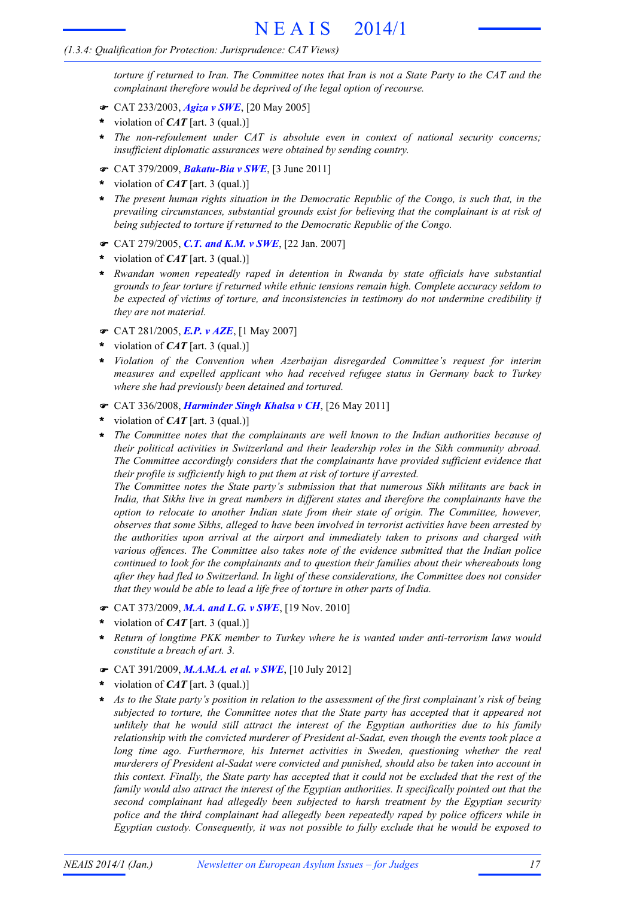# *(1.3.4: Qualification for Protection: Jurisprudence: CAT Views)*

torture if returned to Iran. The Committee notes that Iran is not a State Party to the CAT and the *complainant therefore would be deprived of the legal option of recourse.*

- F CAT 233/2003, *Agiza v SWE*, [20 May 2005]
- violation of *CAT* [art. 3 (qual.)] **\***
- *The non-refoulement under CAT is absolute even in context of national security concerns;* **\*** *insufficient diplomatic assurances were obtained by sending country.*
- F CAT 379/2009, *Bakatu-Bia v SWE*, [3 June 2011]
- violation of *CAT* [art. 3 (qual.)] **\***
- *The present human rights situation in the Democratic Republic of the Congo, is such that, in the* **\*** *prevailing circumstances, substantial grounds exist for believing that the complainant is at risk of being subjected to torture if returned to the Democratic Republic of the Congo.*
- F CAT 279/2005, *C.T. and K.M. v SWE*, [22 Jan. 2007]
- violation of *CAT* [art. 3 (qual.)] **\***
- *Rwandan women repeatedly raped in detention in Rwanda by state officials have substantial* **\*** *grounds to fear torture if returned while ethnic tensions remain high. Complete accuracy seldom to be expected of victims of torture, and inconsistencies in testimony do not undermine credibility if they are not material.*
- F CAT 281/2005, *E.P. v AZE*, [1 May 2007]
- violation of *CAT* [art. 3 (qual.)] **\***
- *Violation of the Convention when Azerbaijan disregarded Committee's request for interim measures and expelled applicant who had received refugee status in Germany back to Turkey where she had previously been detained and tortured.* **\***
- F CAT 336/2008, *Harminder Singh Khalsa v CH*, [26 May 2011]
- violation of *CAT* [art. 3 (qual.)] **\***
- *The Committee notes that the complainants are well known to the Indian authorities because of their political activities in Switzerland and their leadership roles in the Sikh community abroad. The Committee accordingly considers that the complainants have provided sufficient evidence that their profile is sufficiently high to put them at risk of torture if arrested.* **\***

*The Committee notes the State party's submission that that numerous Sikh militants are back in India, that Sikhs live in great numbers in different states and therefore the complainants have the option to relocate to another Indian state from their state of origin. The Committee, however, observes that some Sikhs, alleged to have been involved in terrorist activities have been arrested by the authorities upon arrival at the airport and immediately taken to prisons and charged with various offences. The Committee also takes note of the evidence submitted that the Indian police continued to look for the complainants and to question their families about their whereabouts long after they had fled to Switzerland. In light of these considerations, the Committee does not consider that they would be able to lead a life free of torture in other parts of India.*

- F CAT 373/2009, *M.A. and L.G. v SWE*, [19 Nov. 2010]
- violation of *CAT* [art. 3 (qual.)] **\***
- *Return of longtime PKK member to Turkey where he is wanted under anti-terrorism laws would constitute a breach of art. 3.* **\***
- F CAT 391/2009, *M.A.M.A. et al. v SWE*, [10 July 2012]
- violation of *CAT* [art. 3 (qual.)] **\***
- As to the State party's position in relation to the assessment of the first complainant's risk of being *subjected to torture, the Committee notes that the State party has accepted that it appeared not unlikely that he would still attract the interest of the Egyptian authorities due to his family relationship with the convicted murderer of President al-Sadat, even though the events took place a long time ago. Furthermore, his Internet activities in Sweden, questioning whether the real murderers of President al-Sadat were convicted and punished, should also be taken into account in* this context. Finally, the State party has accepted that it could not be excluded that the rest of the *family would also attract the interest of the Egyptian authorities. It specifically pointed out that the second complainant had allegedly been subjected to harsh treatment by the Egyptian security police and the third complainant had allegedly been repeatedly raped by police officers while in Egyptian custody. Consequently, it was not possible to fully exclude that he would be exposed to* **\***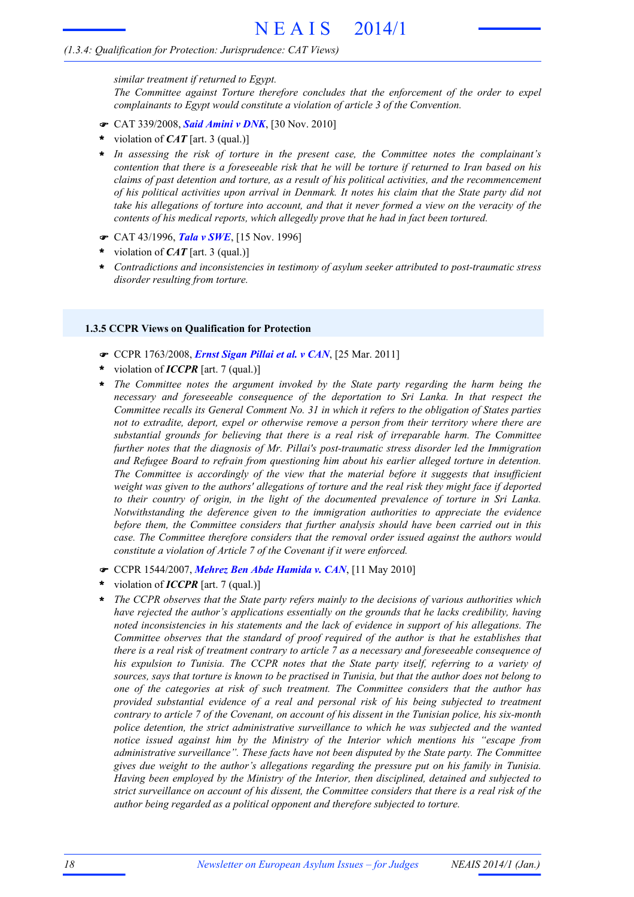# *(1.3.4: Qualification for Protection: Jurisprudence: CAT Views)*

*similar treatment if returned to Egypt. The Committee against Torture therefore concludes that the enforcement of the order to expel complainants to Egypt would constitute a violation of article 3 of the Convention.*

- F CAT 339/2008, *Said Amini v DNK*, [30 Nov. 2010]
- violation of *CAT* [art. 3 (qual.)] **\***
- *In assessing the risk of torture in the present case, the Committee notes the complainant's* **\*** contention that there is a foreseeable risk that he will be torture if returned to Iran based on his *claims of past detention and torture, as a result of his political activities, and the recommencement* of his political activities upon arrival in Denmark. It notes his claim that the State party did not take his allegations of torture into account, and that it never formed a view on the veracity of the *contents of his medical reports, which allegedly prove that he had in fact been tortured.*
- F CAT 43/1996, *Tala v SWE*, [15 Nov. 1996]
- violation of *CAT* [art. 3 (qual.)] **\***
- *Contradictions and inconsistencies in testimony of asylum seeker attributed to post-traumatic stress disorder resulting from torture.* **\***

#### **1.3.5 CCPR Views on Qualification for Protection**

- F CCPR 1763/2008, *Ernst Sigan Pillai et al. v CAN*, [25 Mar. 2011]
- violation of *ICCPR* [art. 7 (qual.)] **\***
- *The Committee notes the argument invoked by the State party regarding the harm being the necessary and foreseeable consequence of the deportation to Sri Lanka. In that respect the Committee recalls its General Comment No. 31 in which it refers to the obligation of States parties not to extradite, deport, expel or otherwise remove a person from their territory where there are substantial grounds for believing that there is a real risk of irreparable harm. The Committee further notes that the diagnosis of Mr. Pillai's post-traumatic stress disorder led the Immigration and Refugee Board to refrain from questioning him about his earlier alleged torture in detention. The Committee is accordingly of the view that the material before it suggests that insufficient* weight was given to the authors' allegations of torture and the real risk they might face if deported *to their country of origin, in the light of the documented prevalence of torture in Sri Lanka. Notwithstanding the deference given to the immigration authorities to appreciate the evidence before them, the Committee considers that further analysis should have been carried out in this case. The Committee therefore considers that the removal order issued against the authors would constitute a violation of Article 7 of the Covenant if it were enforced.* **\***
- **•** CCPR 1544/2007, *Mehrez Ben Abde Hamida v. CAN*, [11 May 2010]
- violation of *ICCPR* [art. 7 (qual.)] **\***
- *The CCPR observes that the State party refers mainly to the decisions of various authorities which have rejected the author's applications essentially on the grounds that he lacks credibility, having noted inconsistencies in his statements and the lack of evidence in support of his allegations. The Committee observes that the standard of proof required of the author is that he establishes that* there is a real risk of treatment contrary to article 7 as a necessary and foreseeable consequence of *his expulsion to Tunisia. The CCPR notes that the State party itself, referring to a variety of* sources, says that torture is known to be practised in Tunisia, but that the author does not belong to *one of the categories at risk of such treatment. The Committee considers that the author has provided substantial evidence of a real and personal risk of his being subjected to treatment* contrary to article 7 of the Covenant, on account of his dissent in the Tunisian police, his six-month *police detention, the strict administrative surveillance to which he was subjected and the wanted notice issued against him by the Ministry of the Interior which mentions his "escape from administrative surveillance". These facts have not been disputed by the State party. The Committee gives due weight to the author's allegations regarding the pressure put on his family in Tunisia. Having been employed by the Ministry of the Interior, then disciplined, detained and subjected to* strict surveillance on account of his dissent, the Committee considers that there is a real risk of the *author being regarded as a political opponent and therefore subjected to torture.* **\***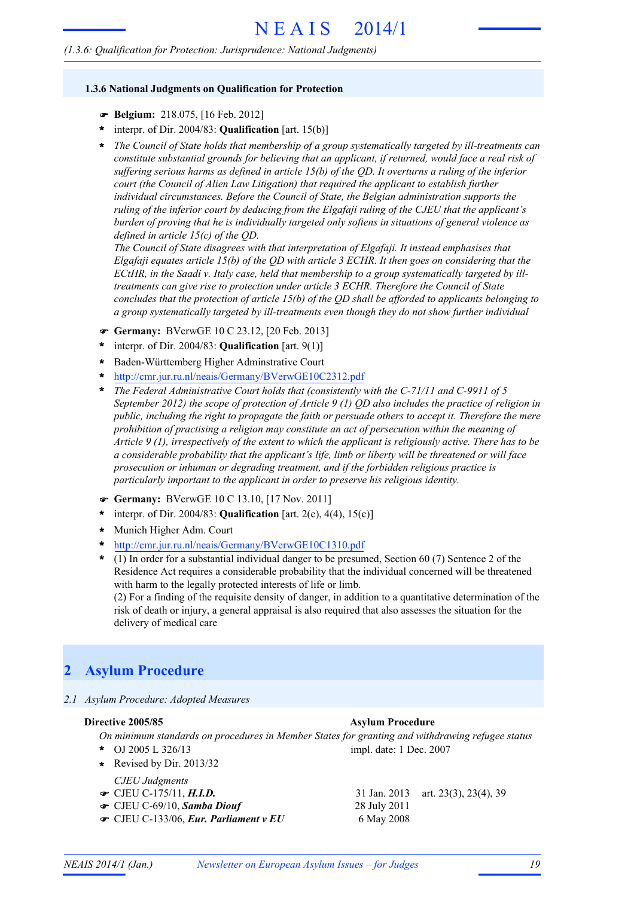### **1.3.6 National Judgments on Qualification for Protection**

- F **Belgium:** 218.075, [16 Feb. 2012]
- interpr. of Dir. 2004/83: **Qualification** [art. 15(b)] **\***
- *The Council of State holds that membership of a group systematically targeted by ill-treatments can* **\*** *constitute substantial grounds for believing that an applicant, if returned, would face a real risk of suffering serious harms as defined in article 15(b) of the QD. It overturns a ruling of the inferior court (the Council of Alien Law Litigation) that required the applicant to establish further individual circumstances. Before the Council of State, the Belgian administration supports the ruling of the inferior court by deducing from the Elgafaji ruling of the CJEU that the applicant's burden of proving that he is individually targeted only softens in situations of general violence as defined in article 15(c) of the QD.*

*The Council of State disagrees with that interpretation of Elgafaji. It instead emphasises that Elgafaji equates article 15(b) of the QD with article 3 ECHR. It then goes on considering that the ECtHR, in the Saadi v. Italy case, held that membership to a group systematically targeted by illtreatments can give rise to protection under article 3 ECHR. Therefore the Council of State concludes that the protection of article 15(b) of the QD shall be afforded to applicants belonging to a group systematically targeted by ill-treatments even though they do not show further individual*

- F **Germany:** BVerwGE 10 C 23.12, [20 Feb. 2013]
- interpr. of Dir. 2004/83: **Qualification** [art. 9(1)] **\***
- Baden-Württemberg Higher Adminstrative Court **\***
- http://cmr.jur.ru.nl/neais/Germany/BVerwGE10C2312.pdf **\***
- *The Federal Administrative Court holds that (consistently with the C-71/11 and C-9911 of 5* **\*** *September 2012) the scope of protection of Article 9 (1) QD also includes the practice of religion in public, including the right to propagate the faith or persuade others to accept it. Therefore the mere prohibition of practising a religion may constitute an act of persecution within the meaning of Article 9 (1), irrespectively of the extent to which the applicant is religiously active. There has to be a considerable probability that the applicant's life, limb or liberty will be threatened or will face prosecution or inhuman or degrading treatment, and if the forbidden religious practice is particularly important to the applicant in order to preserve his religious identity.*
- F **Germany:** BVerwGE 10 C 13.10, [17 Nov. 2011]
- interpr. of Dir. 2004/83: **Qualification** [art. 2(e), 4(4), 15(c)] **\***
- Munich Higher Adm. Court **\***
- http://cmr.jur.ru.nl/neais/Germany/BVerwGE10C1310.pdf **\***
- (1) In order for a substantial individual danger to be presumed, Section 60 (7) Sentence 2 of the Residence Act requires a considerable probability that the individual concerned will be threatened with harm to the legally protected interests of life or limb. (2) For a finding of the requisite density of danger, in addition to a quantitative determination of the risk of death or injury, a general appraisal is also required that also assesses the situation for the delivery of medical care **\***

# **2 Asylum Procedure**

*2.1 Asylum Procedure: Adopted Measures*

**Directive 2005/85 Asylum Procedure**

*On minimum standards on procedures in Member States for granting and withdrawing refugee status* OJ 2005 L 326/13 **\*** impl. date: 1 Dec. 2007

- **\*** Revised by Dir. 2013/32
- *CJEU Judgments*
- **■** CJEU C-175/11, *H.I.D.* 31 Jan. 2013 art. 23(3), 23(4), 39
- CJEU C-69/10, *Samba Diouf* 28 July 2011 F
- **CJEU C-133/06,** *Eur. Parliament v EU* 6 May 2008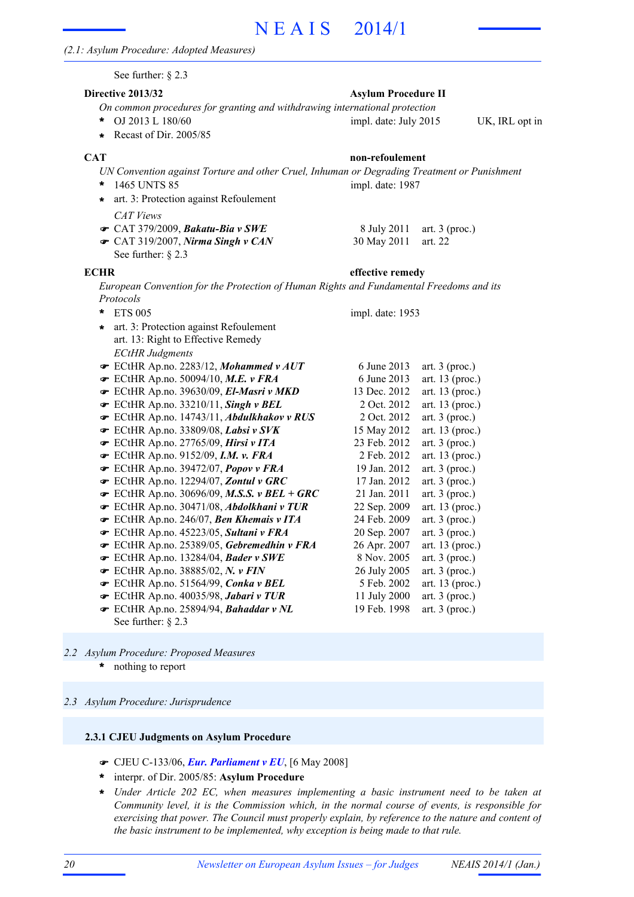See further: § 2.3

#### **Directive 2013/32 Asylum Procedure II**

- *On common procedures for granting and withdrawing international protection* OJ 2013 L 180/60 UK, IRL opt in **\*** impl. date: July 2015
- **\*** Recast of Dir. 2005/85

*UN Convention against Torture and other Cruel, Inhuman or Degrading Treatment or Punishment* 1465 UNTS 85 **\*** impl. date: 1987

- **\*** art. 3: Protection against Refoulement
- *CAT Views*
- **CAT 379/2009,** *Bakatu-Bia v SWE* 8 July 2011 art. 3 (proc.)
- CAT 319/2007, *Nirma Singh v CAN* 30 May 2011 art. 22 See further: § 2.3

**ECHR effective remedy**

impl. date: 1953

*European Convention for the Protection of Human Rights and Fundamental Freedoms and its Protocols*

- ETS 005 **\***
- *ECtHR Judgments* art. 3: Protection against Refoulement **\*** art. 13: Right to Effective Remedy
- **■** ECtHR Ap.no. 2283/12, *Mohammed v AUT* 6 June 2013 art. 3 (proc.)
- **■** ECtHR Ap.no. 50094/10, M.E. v FRA 6 June 2013 art. 13 (proc.)
- **■** ECtHR Ap.no. 39630/09, *El-Masri v MKD* 13 Dec. 2012 art. 13 (proc.)
- **■** ECtHR Ap.no. 33210/11, *Singh v BEL* 2 Oct. 2012 art. 13 (proc.)
- **■** ECtHR Ap.no. 14743/11, *Abdulkhakov v RUS* 2 Oct. 2012 art. 3 (proc.)
- **■** ECtHR Ap.no. 33809/08, *Labsi v SVK* 15 May 2012 art. 13 (proc.)
- ECtHR Ap.no. 27765/09, *Hirsi v ITA* 23 Feb. 2012 art. 3 (proc.) F
- **■** ECtHR Ap.no. 9152/09, *I.M. v. FRA* 2 Feb. 2012 art. 13 (proc.)
- **■** ECtHR Ap.no. 39472/07, *Popov v FRA* 19 Jan. 2012 art. 3 (proc.)
- **■** ECtHR Ap.no. 12294/07, **Zontul v GRC** 17 Jan. 2012 art. 3 (proc.)
- **►** ECtHR Ap.no. 30696/09, M.S.S. *v BEL* + GRC 21 Jan. 2011 art. 3 (proc.)
- ECtHR Ap.no. 30471/08, *Abdolkhani v TUR* 22 Sep. 2009 art. 13 (proc.) F
- **■** ECtHR Ap.no. 246/07, *Ben Khemais v ITA* 24 Feb. 2009 art. 3 (proc.)
- **■** ECtHR Ap.no. 45223/05, **Sultani v FRA** 20 Sep. 2007 art. 3 (proc.)
- ECtHR Ap.no. 25389/05, *Gebremedhin v FRA* 26 Apr. 2007 art. 13 (proc.) F **■** ECtHR Ap.no. 13284/04, *Bader v SWE* 8 Nov. 2005 art. 3 (proc.)
- 
- **■** ECtHR Ap.no. 38885/02, *N. v FIN* 26 July 2005 art. 3 (proc.) ECtHR Ap.no. 51564/99, *Conka v BEL* 5 Feb. 2002 art. 13 (proc.) F
- ECtHR Ap.no. 40035/98, *Jabari v TUR* 11 July 2000 art. 3 (proc.)
- **■** ECtHR Ap.no. 25894/94, *Bahaddar v NL* 19 Feb. 1998 art. 3 (proc.) See further: § 2.3
- 

- nothing to report *2.2 Asylum Procedure: Proposed Measures* **\***
- *2.3 Asylum Procedure: Jurisprudence*

#### **2.3.1 CJEU Judgments on Asylum Procedure**

- F CJEU C-133/06, *Eur. Parliament v EU*, [6 May 2008]
- interpr. of Dir. 2005/85: **Asylum Procedure \***
- *Under Article 202 EC, when measures implementing a basic instrument need to be taken at Community level, it is the Commission which, in the normal course of events, is responsible for exercising that power. The Council must properly explain, by reference to the nature and content of the basic instrument to be implemented, why exception is being made to that rule.* **\***

# **CAT non-refoulement**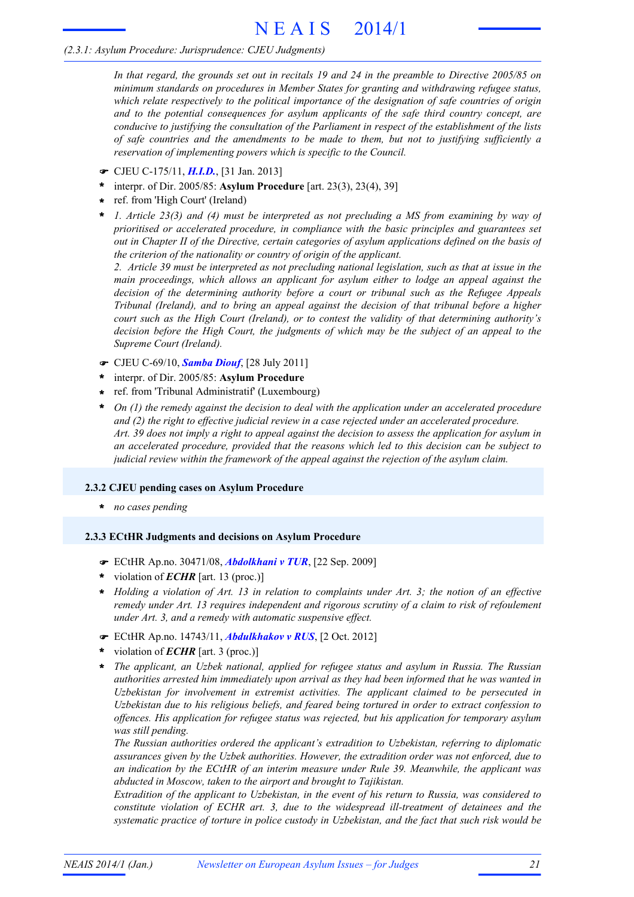# *(2.3.1: Asylum Procedure: Jurisprudence: CJEU Judgments)*

In that regard, the grounds set out in recitals 19 and 24 in the preamble to Directive 2005/85 on *minimum standards on procedures in Member States for granting and withdrawing refugee status, which relate respectively to the political importance of the designation of safe countries of origin and to the potential consequences for asylum applicants of the safe third country concept, are conducive to justifying the consultation of the Parliament in respect of the establishment of the lists of safe countries and the amendments to be made to them, but not to justifying sufficiently a reservation of implementing powers which is specific to the Council.*

- F CJEU C-175/11, *H.I.D.*, [31 Jan. 2013]
- interpr. of Dir. 2005/85: **Asylum Procedure** [art. 23(3), 23(4), 39] **\***
- ref. from 'High Court' (Ireland) **\***
- *1. Article 23(3) and (4) must be interpreted as not precluding a MS from examining by way of prioritised or accelerated procedure, in compliance with the basic principles and guarantees set out in Chapter II of the Directive, certain categories of asylum applications defined on the basis of the criterion of the nationality or country of origin of the applicant.* **\***

2. Article 39 must be interpreted as not precluding national legislation, such as that at issue in the *main proceedings, which allows an applicant for asylum either to lodge an appeal against the decision of the determining authority before a court or tribunal such as the Refugee Appeals Tribunal (Ireland), and to bring an appeal against the decision of that tribunal before a higher court such as the High Court (Ireland), or to contest the validity of that determining authority's decision before the High Court, the judgments of which may be the subject of an appeal to the Supreme Court (Ireland).*

- F CJEU C-69/10, *Samba Diouf*, [28 July 2011]
- interpr. of Dir. 2005/85: **Asylum Procedure \***
- ref. from 'Tribunal Administratif' (Luxembourg) **\***
- *On (1) the remedy against the decision to deal with the application under an accelerated procedure and (2) the right to effective judicial review in a case rejected under an accelerated procedure.* Art. 39 does not imply a right to appeal against the decision to assess the application for asylum in *an accelerated procedure, provided that the reasons which led to this decision can be subject to judicial review within the framework of the appeal against the rejection of the asylum claim.* **\***

# **2.3.2 CJEU pending cases on Asylum Procedure**

**\*** *no cases pending*

# **2.3.3 ECtHR Judgments and decisions on Asylum Procedure**

- F ECtHR Ap.no. 30471/08, *Abdolkhani v TUR*, [22 Sep. 2009]
- violation of *ECHR* [art. 13 (proc.)] **\***
- \* Holding a violation of Art. 13 in relation to complaints under Art. 3; the notion of an effective *remedy under Art. 13 requires independent and rigorous scrutiny of a claim to risk of refoulement under Art. 3, and a remedy with automatic suspensive effect.*
- F ECtHR Ap.no. 14743/11, *Abdulkhakov v RUS*, [2 Oct. 2012]
- violation of *ECHR* [art. 3 (proc.)] **\***
- *The applicant, an Uzbek national, applied for refugee status and asylum in Russia. The Russian authorities arrested him immediately upon arrival as they had been informed that he was wanted in Uzbekistan for involvement in extremist activities. The applicant claimed to be persecuted in Uzbekistan due to his religious beliefs, and feared being tortured in order to extract confession to offences. His application for refugee status was rejected, but his application for temporary asylum was still pending.* **\***

*The Russian authorities ordered the applicant's extradition to Uzbekistan, referring to diplomatic assurances given by the Uzbek authorities. However, the extradition order was not enforced, due to an indication by the ECtHR of an interim measure under Rule 39. Meanwhile, the applicant was abducted in Moscow, taken to the airport and brought to Tajikistan.*

*Extradition of the applicant to Uzbekistan, in the event of his return to Russia, was considered to constitute violation of ECHR art. 3, due to the widespread ill-treatment of detainees and the systematic practice of torture in police custody in Uzbekistan, and the fact that such risk would be*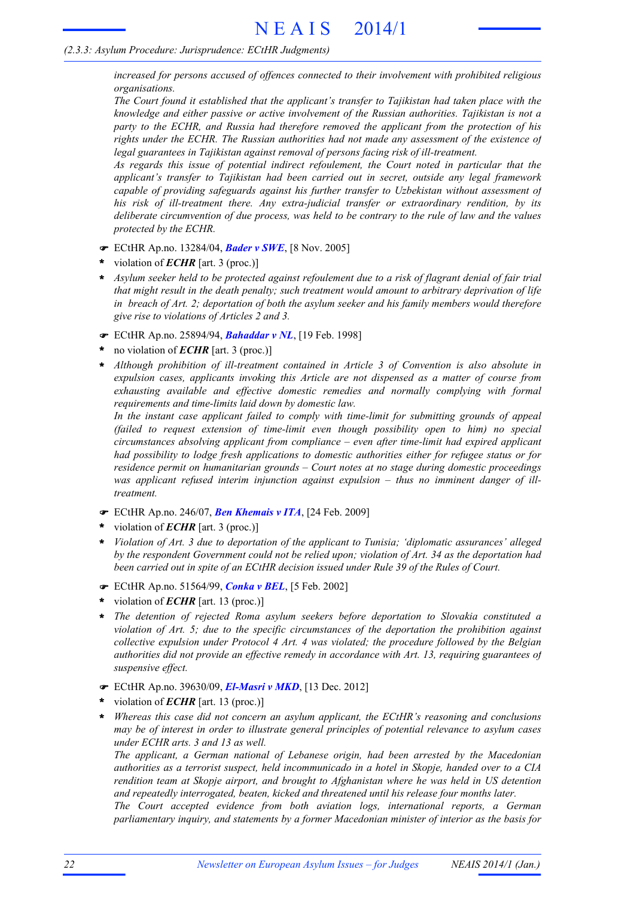## *(2.3.3: Asylum Procedure: Jurisprudence: ECtHR Judgments)*

*increased for persons accused of offences connected to their involvement with prohibited religious organisations.*

*The Court found it established that the applicant's transfer to Tajikistan had taken place with the knowledge and either passive or active involvement of the Russian authorities. Tajikistan is not a party to the ECHR, and Russia had therefore removed the applicant from the protection of his rights under the ECHR. The Russian authorities had not made any assessment of the existence of legal guarantees in Tajikistan against removal of persons facing risk of ill-treatment.*

*As regards this issue of potential indirect refoulement, the Court noted in particular that the applicant's transfer to Tajikistan had been carried out in secret, outside any legal framework capable of providing safeguards against his further transfer to Uzbekistan without assessment of his risk of ill-treatment there. Any extra-judicial transfer or extraordinary rendition, by its deliberate circumvention of due process, was held to be contrary to the rule of law and the values protected by the ECHR.*

- F ECtHR Ap.no. 13284/04, *Bader v SWE*, [8 Nov. 2005]
- violation of *ECHR* [art. 3 (proc.)] **\***
- Asylum seeker held to be protected against refoulement due to a risk of flagrant denial of fair trial *that might result in the death penalty; such treatment would amount to arbitrary deprivation of life in breach of Art. 2; deportation of both the asylum seeker and his family members would therefore give rise to violations of Articles 2 and 3.* **\***
- F ECtHR Ap.no. 25894/94, *Bahaddar v NL*, [19 Feb. 1998]
- no violation of *ECHR* [art. 3 (proc.)] **\***
- *Although prohibition of ill-treatment contained in Article 3 of Convention is also absolute in expulsion cases, applicants invoking this Article are not dispensed as a matter of course from exhausting available and effective domestic remedies and normally complying with formal requirements and time-limits laid down by domestic law.* **\***

*In the instant case applicant failed to comply with time-limit for submitting grounds of appeal (failed to request extension of time-limit even though possibility open to him) no special circumstances absolving applicant from compliance – even after time-limit had expired applicant had possibility to lodge fresh applications to domestic authorities either for refugee status or for residence permit on humanitarian grounds – Court notes at no stage during domestic proceedings was applicant refused interim injunction against expulsion – thus no imminent danger of illtreatment.*

- F ECtHR Ap.no. 246/07, *Ben Khemais v ITA*, [24 Feb. 2009]
- violation of *ECHR* [art. 3 (proc.)] **\***
- *Violation of Art. 3 due to deportation of the applicant to Tunisia; 'diplomatic assurances' alleged by the respondent Government could not be relied upon; violation of Art. 34 as the deportation had been carried out in spite of an ECtHR decision issued under Rule 39 of the Rules of Court.* **\***
- F ECtHR Ap.no. 51564/99, *Conka v BEL*, [5 Feb. 2002]
- violation of *ECHR* [art. 13 (proc.)] **\***
- *The detention of rejected Roma asylum seekers before deportation to Slovakia constituted a violation of Art. 5; due to the specific circumstances of the deportation the prohibition against collective expulsion under Protocol 4 Art. 4 was violated; the procedure followed by the Belgian authorities did not provide an effective remedy in accordance with Art. 13, requiring guarantees of suspensive effect.* **\***
- F ECtHR Ap.no. 39630/09, *El-Masri v MKD*, [13 Dec. 2012]
- violation of *ECHR* [art. 13 (proc.)] **\***
- *Whereas this case did not concern an asylum applicant, the ECtHR's reasoning and conclusions may be of interest in order to illustrate general principles of potential relevance to asylum cases under ECHR arts. 3 and 13 as well.* **\***

*The applicant, a German national of Lebanese origin, had been arrested by the Macedonian authorities as a terrorist suspect, held incommunicado in a hotel in Skopje, handed over to a CIA rendition team at Skopje airport, and brought to Afghanistan where he was held in US detention and repeatedly interrogated, beaten, kicked and threatened until his release four months later.*

*The Court accepted evidence from both aviation logs, international reports, a German parliamentary inquiry, and statements by a former Macedonian minister of interior as the basis for*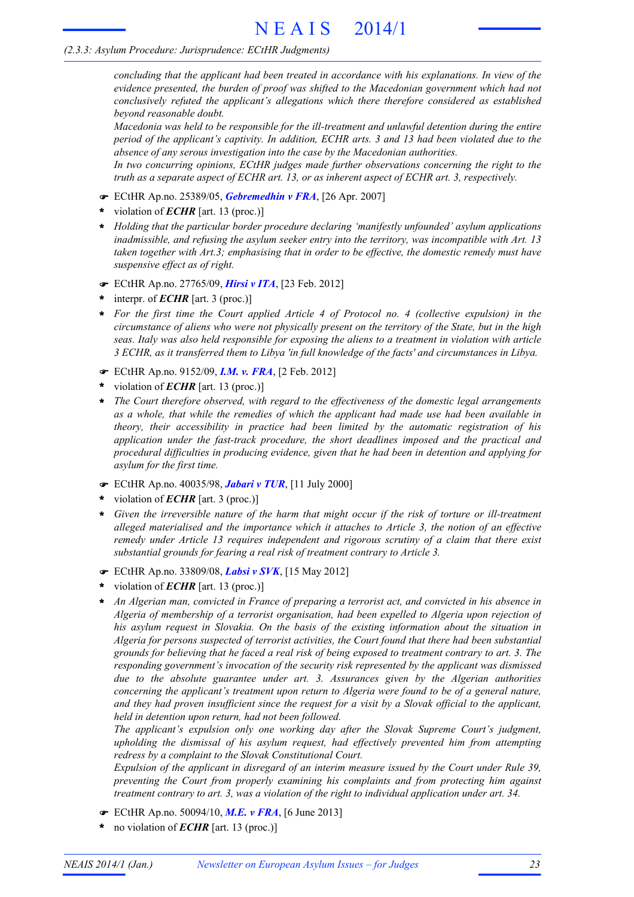# *(2.3.3: Asylum Procedure: Jurisprudence: ECtHR Judgments)*

*concluding that the applicant had been treated in accordance with his explanations. In view of the evidence presented, the burden of proof was shifted to the Macedonian government which had not conclusively refuted the applicant's allegations which there therefore considered as established beyond reasonable doubt.*

*Macedonia was held to be responsible for the ill-treatment and unlawful detention during the entire period of the applicant's captivity. In addition, ECHR arts. 3 and 13 had been violated due to the absence of any serous investigation into the case by the Macedonian authorities.*

*In two concurring opinions, ECtHR judges made further observations concerning the right to the truth as a separate aspect of ECHR art. 13, or as inherent aspect of ECHR art. 3, respectively.*

- F ECtHR Ap.no. 25389/05, *Gebremedhin v FRA*, [26 Apr. 2007]
- violation of *ECHR* [art. 13 (proc.)] **\***
- *Holding that the particular border procedure declaring 'manifestly unfounded' asylum applications* **\*** *inadmissible, and refusing the asylum seeker entry into the territory, was incompatible with Art. 13 taken together with Art.3; emphasising that in order to be effective, the domestic remedy must have suspensive effect as of right.*
- F ECtHR Ap.no. 27765/09, *Hirsi v ITA*, [23 Feb. 2012]
- interpr. of *ECHR* [art. 3 (proc.)] **\***
- *For the first time the Court applied Article 4 of Protocol no. 4 (collective expulsion) in the* circumstance of aliens who were not physically present on the territory of the State, but in the high *seas. Italy was also held responsible for exposing the aliens to a treatment in violation with article 3 ECHR, as it transferred them to Libya 'in full knowledge of the facts' and circumstances in Libya.* **\***
- F ECtHR Ap.no. 9152/09, *I.M. v. FRA*, [2 Feb. 2012]
- violation of *ECHR* [art. 13 (proc.)] **\***
- *The Court therefore observed, with regard to the effectiveness of the domestic legal arrangements* **\*** *as a whole, that while the remedies of which the applicant had made use had been available in theory, their accessibility in practice had been limited by the automatic registration of his application under the fast-track procedure, the short deadlines imposed and the practical and procedural difficulties in producing evidence, given that he had been in detention and applying for asylum for the first time.*
- F ECtHR Ap.no. 40035/98, *Jabari v TUR*, [11 July 2000]
- violation of *ECHR* [art. 3 (proc.)] **\***
- \* Given the irreversible nature of the harm that might occur if the risk of torture or ill-treatment *alleged materialised and the importance which it attaches to Article 3, the notion of an effective remedy under Article 13 requires independent and rigorous scrutiny of a claim that there exist substantial grounds for fearing a real risk of treatment contrary to Article 3.*
- F ECtHR Ap.no. 33809/08, *Labsi v SVK*, [15 May 2012]
- violation of *ECHR* [art. 13 (proc.)] **\***
- *An Algerian man, convicted in France of preparing a terrorist act, and convicted in his absence in Algeria of membership of a terrorist organisation, had been expelled to Algeria upon rejection of his asylum request in Slovakia. On the basis of the existing information about the situation in Algeria for persons suspected of terrorist activities, the Court found that there had been substantial* grounds for believing that he faced a real risk of being exposed to treatment contrary to art. 3. The *responding government's invocation of the security risk represented by the applicant was dismissed due to the absolute guarantee under art. 3. Assurances given by the Algerian authorities concerning the applicant's treatment upon return to Algeria were found to be of a general nature,* and they had proven insufficient since the request for a visit by a Slovak official to the applicant, *held in detention upon return, had not been followed.* **\***

*The applicant's expulsion only one working day after the Slovak Supreme Court's judgment, upholding the dismissal of his asylum request, had effectively prevented him from attempting redress by a complaint to the Slovak Constitutional Court.*

*Expulsion of the applicant in disregard of an interim measure issued by the Court under Rule 39, preventing the Court from properly examining his complaints and from protecting him against treatment contrary to art. 3, was a violation of the right to individual application under art. 34.*

- F ECtHR Ap.no. 50094/10, *M.E. v FRA*, [6 June 2013]
- no violation of *ECHR* [art. 13 (proc.)] **\***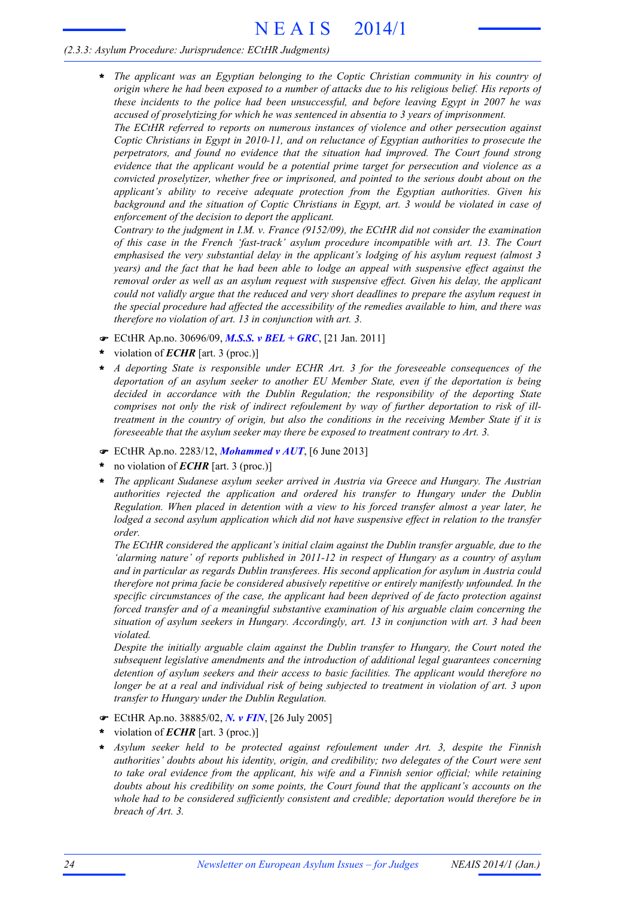# *(2.3.3: Asylum Procedure: Jurisprudence: ECtHR Judgments)*

*The applicant was an Egyptian belonging to the Coptic Christian community in his country of* **\*** origin where he had been exposed to a number of attacks due to his religious belief. His reports of *these incidents to the police had been unsuccessful, and before leaving Egypt in 2007 he was accused of proselytizing for which he was sentenced in absentia to 3 years of imprisonment.*

*The ECtHR referred to reports on numerous instances of violence and other persecution against Coptic Christians in Egypt in 2010-11, and on reluctance of Egyptian authorities to prosecute the perpetrators, and found no evidence that the situation had improved. The Court found strong evidence that the applicant would be a potential prime target for persecution and violence as a convicted proselytizer, whether free or imprisoned, and pointed to the serious doubt about on the applicant's ability to receive adequate protection from the Egyptian authorities. Given his background and the situation of Coptic Christians in Egypt, art. 3 would be violated in case of enforcement of the decision to deport the applicant.*

*Contrary to the judgment in I.M. v. France (9152/09), the ECtHR did not consider the examination of this case in the French 'fast-track' asylum procedure incompatible with art. 13. The Court emphasised the very substantial delay in the applicant's lodging of his asylum request (almost 3 years) and the fact that he had been able to lodge an appeal with suspensive effect against the removal order as well as an asylum request with suspensive effect. Given his delay, the applicant could not validly argue that the reduced and very short deadlines to prepare the asylum request in the special procedure had affected the accessibility of the remedies available to him, and there was therefore no violation of art. 13 in conjunction with art. 3.*

- F ECtHR Ap.no. 30696/09, *M.S.S. v BEL + GRC*, [21 Jan. 2011]
- violation of *ECHR* [art. 3 (proc.)] **\***
- *A deporting State is responsible under ECHR Art. 3 for the foreseeable consequences of the deportation of an asylum seeker to another EU Member State, even if the deportation is being decided in accordance with the Dublin Regulation; the responsibility of the deporting State comprises not only the risk of indirect refoulement by way of further deportation to risk of illtreatment in the country of origin, but also the conditions in the receiving Member State if it is foreseeable that the asylum seeker may there be exposed to treatment contrary to Art. 3.* **\***
- F ECtHR Ap.no. 2283/12, *Mohammed v AUT*, [6 June 2013]
- no violation of *ECHR* [art. 3 (proc.)] **\***
- *The applicant Sudanese asylum seeker arrived in Austria via Greece and Hungary. The Austrian authorities rejected the application and ordered his transfer to Hungary under the Dublin Regulation. When placed in detention with a view to his forced transfer almost a year later, he lodged a second asylum application which did not have suspensive effect in relation to the transfer order.* **\***

*The ECtHR considered the applicant's initial claim against the Dublin transfer arguable, due to the 'alarming nature' of reports published in 2011-12 in respect of Hungary as a country of asylum and in particular as regards Dublin transferees. His second application for asylum in Austria could therefore not prima facie be considered abusively repetitive or entirely manifestly unfounded. In the specific circumstances of the case, the applicant had been deprived of de facto protection against forced transfer and of a meaningful substantive examination of his arguable claim concerning the situation of asylum seekers in Hungary. Accordingly, art. 13 in conjunction with art. 3 had been violated.*

*Despite the initially arguable claim against the Dublin transfer to Hungary, the Court noted the subsequent legislative amendments and the introduction of additional legal guarantees concerning detention of asylum seekers and their access to basic facilities. The applicant would therefore no* longer be at a real and individual risk of being subjected to treatment in violation of art. 3 upon *transfer to Hungary under the Dublin Regulation.*

- F ECtHR Ap.no. 38885/02, *N. v FIN*, [26 July 2005]
- violation of *ECHR* [art. 3 (proc.)] **\***
- *Asylum seeker held to be protected against refoulement under Art. 3, despite the Finnish authorities' doubts about his identity, origin, and credibility; two delegates of the Court were sent to take oral evidence from the applicant, his wife and a Finnish senior official; while retaining doubts about his credibility on some points, the Court found that the applicant's accounts on the whole had to be considered sufficiently consistent and credible; deportation would therefore be in breach of Art. 3.* **\***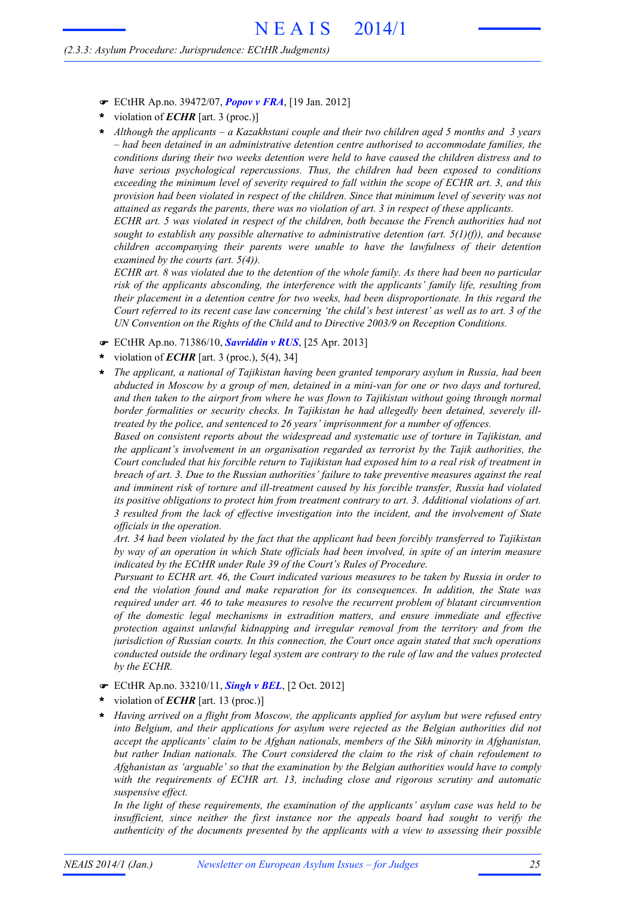- F ECtHR Ap.no. 39472/07, *Popov v FRA*, [19 Jan. 2012]
- violation of *ECHR* [art. 3 (proc.)] **\***
- *Although the applicants – a Kazakhstani couple and their two children aged 5 months and 3 years* **\*** *– had been detained in an administrative detention centre authorised to accommodate families, the conditions during their two weeks detention were held to have caused the children distress and to have serious psychological repercussions. Thus, the children had been exposed to conditions exceeding the minimum level of severity required to fall within the scope of ECHR art. 3, and this provision had been violated in respect of the children. Since that minimum level of severity was not attained as regards the parents, there was no violation of art. 3 in respect of these applicants.*

*ECHR art. 5 was violated in respect of the children, both because the French authorities had not sought to establish any possible alternative to administrative detention (art. 5(1)(f)), and because children accompanying their parents were unable to have the lawfulness of their detention examined by the courts (art. 5(4)).*

ECHR art. 8 was violated due to the detention of the whole family. As there had been no particular *risk of the applicants absconding, the interference with the applicants' family life, resulting from their placement in a detention centre for two weeks, had been disproportionate. In this regard the* Court referred to its recent case law concerning 'the child's best interest' as well as to art. 3 of the *UN Convention on the Rights of the Child and to Directive 2003/9 on Reception Conditions.*

- F ECtHR Ap.no. 71386/10, *Savriddin v RUS*, [25 Apr. 2013]
- violation of *ECHR* [art. 3 (proc.), 5(4), 34] **\***
- *The applicant, a national of Tajikistan having been granted temporary asylum in Russia, had been* abducted in Moscow by a group of men, detained in a mini-van for one or two days and tortured, *and then taken to the airport from where he was flown to Tajikistan without going through normal border formalities or security checks. In Tajikistan he had allegedly been detained, severely illtreated by the police, and sentenced to 26 years' imprisonment for a number of offences.* **\***

*Based on consistent reports about the widespread and systematic use of torture in Tajikistan, and the applicant's involvement in an organisation regarded as terrorist by the Tajik authorities, the* Court concluded that his forcible return to Tajikistan had exposed him to a real risk of treatment in *breach of art. 3. Due to the Russian authorities' failure to take preventive measures against the real and imminent risk of torture and ill-treatment caused by his forcible transfer, Russia had violated its positive obligations to protect him from treatment contrary to art. 3. Additional violations of art. 3 resulted from the lack of effective investigation into the incident, and the involvement of State officials in the operation.*

*Art. 34 had been violated by the fact that the applicant had been forcibly transferred to Tajikistan by way of an operation in which State officials had been involved, in spite of an interim measure indicated by the ECtHR under Rule 39 of the Court's Rules of Procedure.*

*Pursuant to ECHR art. 46, the Court indicated various measures to be taken by Russia in order to end the violation found and make reparation for its consequences. In addition, the State was required under art. 46 to take measures to resolve the recurrent problem of blatant circumvention of the domestic legal mechanisms in extradition matters, and ensure immediate and effective protection against unlawful kidnapping and irregular removal from the territory and from the jurisdiction of Russian courts. In this connection, the Court once again stated that such operations conducted outside the ordinary legal system are contrary to the rule of law and the values protected by the ECHR.*

- F ECtHR Ap.no. 33210/11, *Singh v BEL*, [2 Oct. 2012]
- violation of *ECHR* [art. 13 (proc.)] **\***
- *Having arrived on a flight from Moscow, the applicants applied for asylum but were refused entry into Belgium, and their applications for asylum were rejected as the Belgian authorities did not accept the applicants' claim to be Afghan nationals, members of the Sikh minority in Afghanistan, but rather Indian nationals. The Court considered the claim to the risk of chain refoulement to Afghanistan as 'arguable' so that the examination by the Belgian authorities would have to comply with the requirements of ECHR art. 13, including close and rigorous scrutiny and automatic suspensive effect.* **\***

*In the light of these requirements, the examination of the applicants' asylum case was held to be insufficient, since neither the first instance nor the appeals board had sought to verify the authenticity of the documents presented by the applicants with a view to assessing their possible*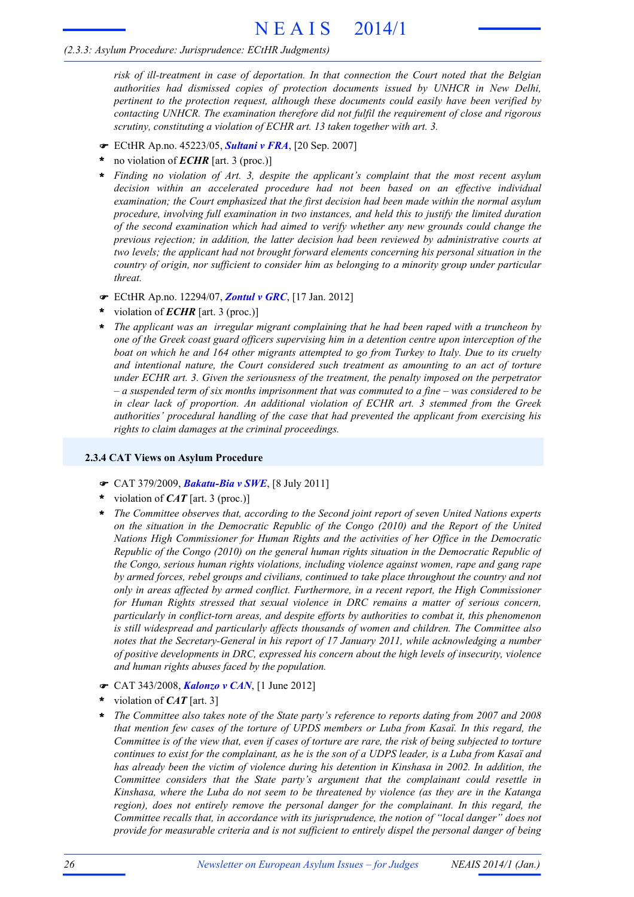# N E A I S 2014/1

#### *(2.3.3: Asylum Procedure: Jurisprudence: ECtHR Judgments)*

*risk of ill-treatment in case of deportation. In that connection the Court noted that the Belgian authorities had dismissed copies of protection documents issued by UNHCR in New Delhi, pertinent to the protection request, although these documents could easily have been verified by contacting UNHCR. The examination therefore did not fulfil the requirement of close and rigorous scrutiny, constituting a violation of ECHR art. 13 taken together with art. 3.*

- F ECtHR Ap.no. 45223/05, *Sultani v FRA*, [20 Sep. 2007]
- no violation of *ECHR* [art. 3 (proc.)] **\***
- *Finding no violation of Art. 3, despite the applicant's complaint that the most recent asylum decision within an accelerated procedure had not been based on an effective individual examination; the Court emphasized that the first decision had been made within the normal asylum procedure, involving full examination in two instances, and held this to justify the limited duration of the second examination which had aimed to verify whether any new grounds could change the previous rejection; in addition, the latter decision had been reviewed by administrative courts at two levels; the applicant had not brought forward elements concerning his personal situation in the country of origin, nor sufficient to consider him as belonging to a minority group under particular threat.* **\***
- F ECtHR Ap.no. 12294/07, *Zontul v GRC*, [17 Jan. 2012]
- violation of *ECHR* [art. 3 (proc.)] **\***
- *The applicant was an irregular migrant complaining that he had been raped with a truncheon by one of the Greek coast guard officers supervising him in a detention centre upon interception of the* boat on which he and 164 other migrants attempted to go from Turkey to Italy. Due to its cruelty *and intentional nature, the Court considered such treatment as amounting to an act of torture under ECHR art. 3. Given the seriousness of the treatment, the penalty imposed on the perpetrator*  $-a$  suspended term of six months imprisonment that was commuted to a fine  $-was$  considered to be *in clear lack of proportion. An additional violation of ECHR art. 3 stemmed from the Greek authorities' procedural handling of the case that had prevented the applicant from exercising his rights to claim damages at the criminal proceedings.* **\***

#### **2.3.4 CAT Views on Asylum Procedure**

- F CAT 379/2009, *Bakatu-Bia v SWE*, [8 July 2011]
- violation of *CAT* [art. 3 (proc.)] **\***
- *The Committee observes that, according to the Second joint report of seven United Nations experts on the situation in the Democratic Republic of the Congo (2010) and the Report of the United Nations High Commissioner for Human Rights and the activities of her Office in the Democratic Republic of the Congo (2010) on the general human rights situation in the Democratic Republic of the Congo, serious human rights violations, including violence against women, rape and gang rape by armed forces, rebel groups and civilians, continued to take place throughout the country and not only in areas affected by armed conflict. Furthermore, in a recent report, the High Commissioner for Human Rights stressed that sexual violence in DRC remains a matter of serious concern, particularly in conflict-torn areas, and despite efforts by authorities to combat it, this phenomenon is still widespread and particularly affects thousands of women and children. The Committee also notes that the Secretary-General in his report of 17 January 2011, while acknowledging a number of positive developments in DRC, expressed his concern about the high levels of insecurity, violence and human rights abuses faced by the population.* **\***
- F CAT 343/2008, *Kalonzo v CAN*, [1 June 2012]
- violation of *CAT* [art. 3] **\***
- *The Committee also takes note of the State party's reference to reports dating from 2007 and 2008 that mention few cases of the torture of UPDS members or Luba from Kasaï. In this regard, the* Committee is of the view that, even if cases of torture are rare, the risk of being subjected to torture continues to exist for the complainant, as he is the son of a UDPS leader, is a Luba from Kasaï and *has already been the victim of violence during his detention in Kinshasa in 2002. In addition, the Committee considers that the State party's argument that the complainant could resettle in Kinshasa, where the Luba do not seem to be threatened by violence (as they are in the Katanga region), does not entirely remove the personal danger for the complainant. In this regard, the Committee recalls that, in accordance with its jurisprudence, the notion of "local danger" does not provide for measurable criteria and is not sufficient to entirely dispel the personal danger of being* **\***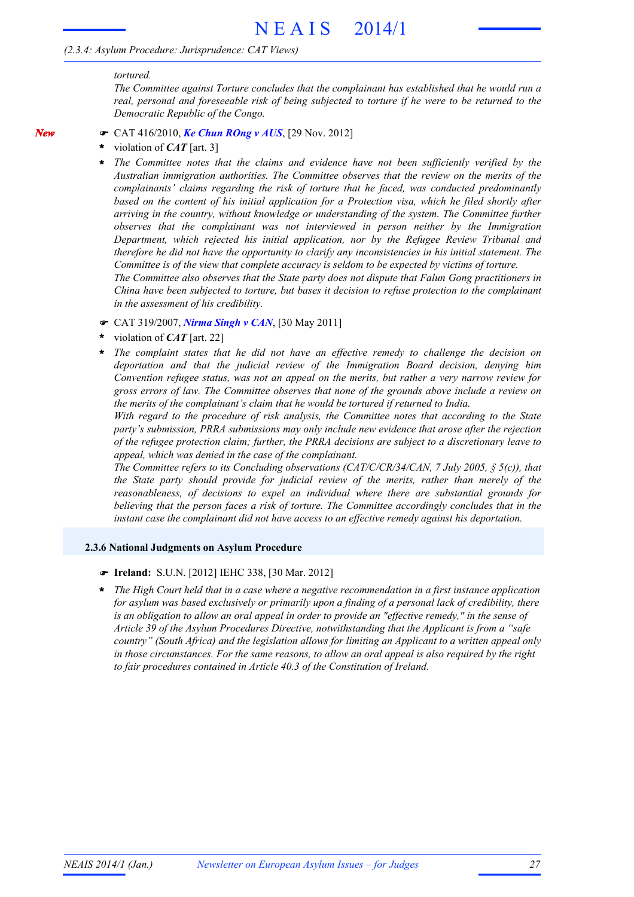## *(2.3.4: Asylum Procedure: Jurisprudence: CAT Views)*

#### *tortured.*

*New*

*The Committee against Torture concludes that the complainant has established that he would run a real, personal and foreseeable risk of being subjected to torture if he were to be returned to the Democratic Republic of the Congo.*

- F CAT 416/2010, *Ke Chun ROng v AUS*, [29 Nov. 2012]
- violation of *CAT* [art. 3] **\***
- *The Committee notes that the claims and evidence have not been sufficiently verified by the Australian immigration authorities. The Committee observes that the review on the merits of the complainants' claims regarding the risk of torture that he faced, was conducted predominantly based on the content of his initial application for a Protection visa, which he filed shortly after arriving in the country, without knowledge or understanding of the system. The Committee further observes that the complainant was not interviewed in person neither by the Immigration Department, which rejected his initial application, nor by the Refugee Review Tribunal and therefore he did not have the opportunity to clarify any inconsistencies in his initial statement. The Committee is of the view that complete accuracy is seldom to be expected by victims of torture.* **\***

*The Committee also observes that the State party does not dispute that Falun Gong practitioners in China have been subjected to torture, but bases it decision to refuse protection to the complainant in the assessment of his credibility.*

- F CAT 319/2007, *Nirma Singh v CAN*, [30 May 2011]
- violation of *CAT* [art. 22] **\***
- *The complaint states that he did not have an effective remedy to challenge the decision on deportation and that the judicial review of the Immigration Board decision, denying him Convention refugee status, was not an appeal on the merits, but rather a very narrow review for gross errors of law. The Committee observes that none of the grounds above include a review on the merits of the complainant's claim that he would be tortured if returned to India.* **\***

*With regard to the procedure of risk analysis, the Committee notes that according to the State party's submission, PRRA submissions may only include new evidence that arose after the rejection of the refugee protection claim; further, the PRRA decisions are subject to a discretionary leave to appeal, which was denied in the case of the complainant.*

*The Committee refers to its Concluding observations (CAT/C/CR/34/CAN, 7 July 2005, § 5(c)), that the State party should provide for judicial review of the merits, rather than merely of the reasonableness, of decisions to expel an individual where there are substantial grounds for believing that the person faces a risk of torture. The Committee accordingly concludes that in the instant case the complainant did not have access to an effective remedy against his deportation.*

#### **2.3.6 National Judgments on Asylum Procedure**

#### F **Ireland:** S.U.N. [2012] IEHC 338, [30 Mar. 2012]

*The High Court held that in a case where a negative recommendation in a first instance application for asylum was based exclusively or primarily upon a finding of a personal lack of credibility, there is an obligation to allow an oral appeal in order to provide an "effective remedy," in the sense of Article 39 of the Asylum Procedures Directive, notwithstanding that the Applicant is from a "safe country" (South Africa) and the legislation allows for limiting an Applicant to a written appeal only in those circumstances. For the same reasons, to allow an oral appeal is also required by the right to fair procedures contained in Article 40.3 of the Constitution of Ireland.* **\***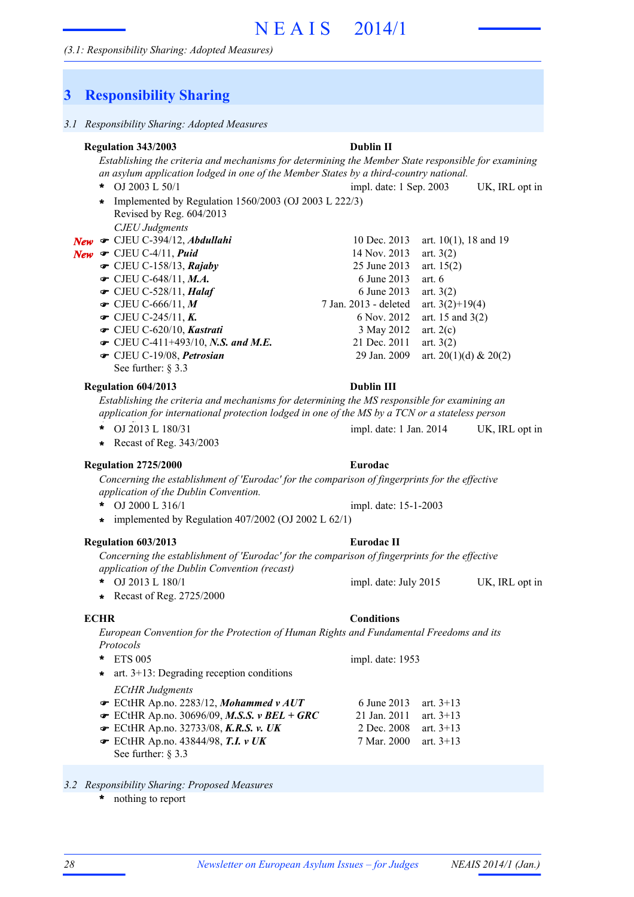# **3 Responsibility Sharing**

## *Establishing the criteria and mechanisms for determining the Member State responsible for examining an asylum application lodged in one of the Member States by a third-country national.* OJ 2003 L 50/1 UK, IRL opt in impl. date: 1 Sep. 2003 *CJEU Judgments* **New •** CJEU C-394/12, *Abdullahi* 10 Dec. 2013 art. 10(1), 18 and 19 **New •** CJEU C-4/11, *Puid* 14 Nov. 2013 art. 3(2) **■** CJEU C-158/13, *Rajaby* 25 June 2013 art. 15(2) • CJEU C-648/11, *M.A.* 6 June 2013 art. 6 • CJEU C-528/11, *Halaf* 6 June 2013 art. 3(2) 7 Jan. 2013 - deleted art. 3(2)+19(4) • CJEU C-245/11, *K*. 6 Nov. 2012 art. 15 and 3(2)  $\bullet$  CJEU C-620/10, *Kastrati* 3 May 2012 art. 2(c) • CJEU C-411+493/10, *N.S. and M.E.* 21 Dec. 2011 art. 3(2)  $\bullet$  CJEU C-19/08, *Petrosian* 29 Jan. 2009 art. 20(1)(d) & 20(2) See further:  $83.3$ **Regulation 343/2003 Dublin II**  $\bullet$  CJEU C-666/11, M \* OJ 2003 L 50/1 Implemented by Regulation 1560/2003 (OJ 2003 L 222/3) **\*** Revised by Reg. 604/2013 *Establishing the criteria and mechanisms for determining the MS responsible for examining an application for international protection lodged in one of the MS by a TCN or a stateless person* \* OJ 2013 L 180/31 impl. date: 1 Jan. 2014 UK, IRL opt in **Regulation 604/2013 Dublin III \*** Recast of Reg. 343/2003 *Concerning the establishment of 'Eurodac' for the comparison of fingerprints for the effective application of the Dublin Convention.* OJ 2000 L 316/1 **Regulation 2725/2000 Eurodac \*** impl. date: 15-1-2003 **\*** implemented by Regulation 407/2002 (OJ 2002 L 62/1) *Concerning the establishment of 'Eurodac' for the comparison of fingerprints for the effective application of the Dublin Convention (recast)* \* OJ 2013 L 180/1 impl. date: July 2015 UK, IRL opt in **Regulation 603/2013 Eurodac II \*** Recast of Reg. 2725/2000 *European Convention for the Protection of Human Rights and Fundamental Freedoms and its Protocols* ETS 005 **\*** *ECtHR Judgments*  $\blacktriangleright$  ECtHR Ap.no. 2283/12, *Mohammed v AUT* 6 June 2013 art. 3+13 ECtHR Ap.no. 30696/09, *M.S.S. v BEL + GRC* 21 Jan. 2011 art. 3+13 F **■** ECtHR Ap.no. 32733/08, *K.R.S. v. UK* 2 Dec. 2008 art. 3+13 **■** ECtHR Ap.no. 43844/98, **T.I.** *v UK* 7 Mar. 2000 art. 3+13 See further: § 3.3 impl. date: 1953 **\*** art. 3+13: Degrading reception conditions **ECHR Conditions**

### *3.2 Responsibility Sharing: Proposed Measures*

nothing to report **\***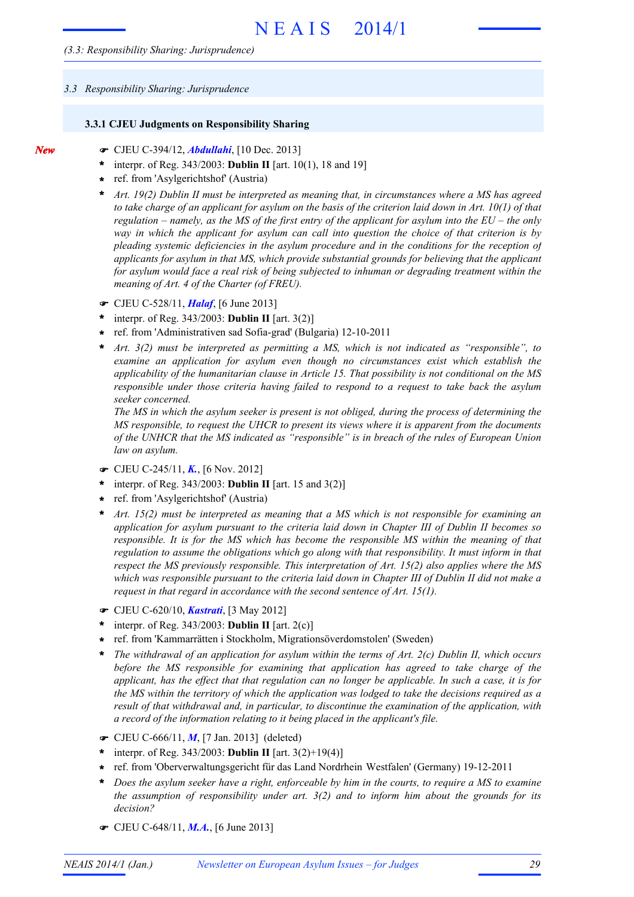#### *3.3 Responsibility Sharing: Jurisprudence*

*New*

#### **3.3.1 CJEU Judgments on Responsibility Sharing**

- F CJEU C-394/12, *Abdullahi*, [10 Dec. 2013]
- interpr. of Reg. 343/2003: **Dublin II** [art. 10(1), 18 and 19] **\***
- ref. from 'Asylgerichtshof' (Austria) **\***
- *Art. 19(2) Dublin II must be interpreted as meaning that, in circumstances where a MS has agreed* to take charge of an applicant for asylum on the basis of the criterion laid down in Art.  $10(1)$  of that regulation – namely, as the MS of the first entry of the applicant for asylum into the  $EU$  – the only *way in which the applicant for asylum can call into question the choice of that criterion is by pleading systemic deficiencies in the asylum procedure and in the conditions for the reception of applicants for asylum in that MS, which provide substantial grounds for believing that the applicant for asylum would face a real risk of being subjected to inhuman or degrading treatment within the meaning of Art. 4 of the Charter (of FREU).* **\***
- F CJEU C-528/11, *Halaf*, [6 June 2013]
- interpr. of Reg. 343/2003: **Dublin II** [art. 3(2)] **\***
- ref. from 'Administrativen sad Sofia-grad' (Bulgaria) 12-10-2011 **\***
- *Art. 3(2) must be interpreted as permitting a MS, which is not indicated as "responsible", to examine an application for asylum even though no circumstances exist which establish the applicability of the humanitarian clause in Article 15. That possibility is not conditional on the MS responsible under those criteria having failed to respond to a request to take back the asylum seeker concerned.* **\***

*The MS in which the asylum seeker is present is not obliged, during the process of determining the MS responsible, to request the UHCR to present its views where it is apparent from the documents of the UNHCR that the MS indicated as "responsible" is in breach of the rules of European Union law on asylum.*

- F CJEU C-245/11, *K.*, [6 Nov. 2012]
- interpr. of Reg. 343/2003: **Dublin II** [art. 15 and 3(2)] **\***
- ref. from 'Asylgerichtshof' (Austria) **\***
- *Art. 15(2) must be interpreted as meaning that a MS which is not responsible for examining an application for asylum pursuant to the criteria laid down in Chapter III of Dublin II becomes so responsible. It is for the MS which has become the responsible MS within the meaning of that regulation to assume the obligations which go along with that responsibility. It must inform in that respect the MS previously responsible. This interpretation of Art. 15(2) also applies where the MS* which was responsible pursuant to the criteria laid down in Chapter III of Dublin II did not make a *request in that regard in accordance with the second sentence of Art. 15(1).* **\***
- F CJEU C-620/10, *Kastrati*, [3 May 2012]
- interpr. of Reg. 343/2003: **Dublin II** [art. 2(c)] **\***
- ref. from 'Kammarrätten i Stockholm, Migrationsöverdomstolen' (Sweden) **\***
- *The withdrawal of an application for asylum within the terms of Art. 2(c) Dublin II, which occurs before the MS responsible for examining that application has agreed to take charge of the* applicant, has the effect that that regulation can no longer be applicable. In such a case, it is for the MS within the territory of which the application was lodged to take the decisions required as a *result of that withdrawal and, in particular, to discontinue the examination of the application, with a record of the information relating to it being placed in the applicant's file.* **\***
- F CJEU C-666/11, *M*, [7 Jan. 2013] (deleted)
- interpr. of Reg. 343/2003: **Dublin II** [art. 3(2)+19(4)] **\***
- ref. from 'Oberverwaltungsgericht für das Land Nordrhein Westfalen' (Germany) 19-12-2011 **\***
- Does the asylum seeker have a right, enforceable by him in the courts, to require a MS to examine *the assumption of responsibility under art. 3(2) and to inform him about the grounds for its decision?* **\***
- F CJEU C-648/11, *M.A.*, [6 June 2013]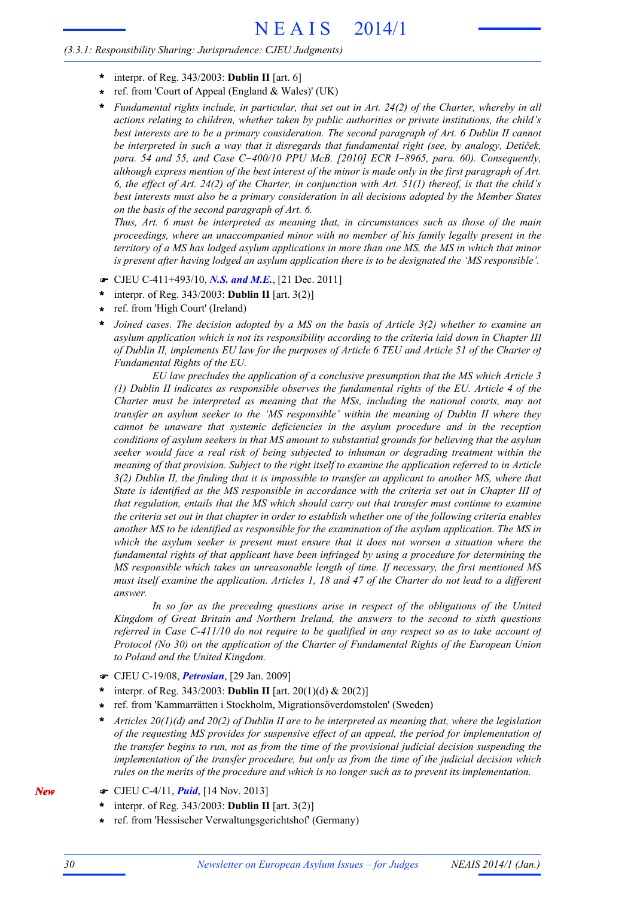## *(3.3.1: Responsibility Sharing: Jurisprudence: CJEU Judgments)*

- interpr. of Reg. 343/2003: **Dublin II** [art. 6] **\***
- ref. from 'Court of Appeal (England & Wales)' (UK) **\***
- *Fundamental rights include, in particular, that set out in Art. 24(2) of the Charter, whereby in all actions relating to children, whether taken by public authorities or private institutions, the child's best interests are to be a primary consideration. The second paragraph of Art. 6 Dublin II cannot be interpreted in such a way that it disregards that fundamental right (see, by analogy, Detiček, para. 54 and 55, and Case C*-*400/10 PPU McB. [2010] ECR I*-*8965, para. 60). Consequently,* although express mention of the best interest of the minor is made only in the first paragraph of Art. 6, the effect of Art. 24(2) of the Charter, in conjunction with Art.  $51(1)$  thereof, is that the child's *best interests must also be a primary consideration in all decisions adopted by the Member States on the basis of the second paragraph of Art. 6.* **\***

*Thus, Art. 6 must be interpreted as meaning that, in circumstances such as those of the main proceedings, where an unaccompanied minor with no member of his family legally present in the* territory of a MS has lodged asylum applications in more than one MS, the MS in which that minor *is present after having lodged an asylum application there is to be designated the 'MS responsible'.*

- F CJEU C-411+493/10, *N.S. and M.E.*, [21 Dec. 2011]
- interpr. of Reg. 343/2003: **Dublin II** [art. 3(2)] **\***
- ref. from 'High Court' (Ireland) **\***
- *Joined cases. The decision adopted by a MS on the basis of Article 3(2) whether to examine an asylum application which is not its responsibility according to the criteria laid down in Chapter III* of Dublin II, implements EU law for the purposes of Article 6 TEU and Article 51 of the Charter of *Fundamental Rights of the EU.* **\***

*EU law precludes the application of a conclusive presumption that the MS which Article 3 (1) Dublin II indicates as responsible observes the fundamental rights of the EU. Article 4 of the Charter must be interpreted as meaning that the MSs, including the national courts, may not transfer an asylum seeker to the 'MS responsible' within the meaning of Dublin II where they cannot be unaware that systemic deficiencies in the asylum procedure and in the reception conditions of asylum seekers in that MS amount to substantial grounds for believing that the asylum seeker would face a real risk of being subjected to inhuman or degrading treatment within the meaning of that provision. Subject to the right itself to examine the application referred to in Article*  $3(2)$  Dublin II, the finding that it is impossible to transfer an applicant to another MS, where that State is identified as the MS responsible in accordance with the criteria set out in Chapter III of *that regulation, entails that the MS which should carry out that transfer must continue to examine* the criteria set out in that chapter in order to establish whether one of the following criteria enables *another MS to be identified as responsible for the examination of the asylum application. The MS in which the asylum seeker is present must ensure that it does not worsen a situation where the fundamental rights of that applicant have been infringed by using a procedure for determining the MS responsible which takes an unreasonable length of time. If necessary, the first mentioned MS* must itself examine the application. Articles 1, 18 and 47 of the Charter do not lead to a different *answer.*

*In so far as the preceding questions arise in respect of the obligations of the United Kingdom of Great Britain and Northern Ireland, the answers to the second to sixth questions* referred in Case C-411/10 do not require to be qualified in any respect so as to take account of *Protocol (No 30) on the application of the Charter of Fundamental Rights of the European Union to Poland and the United Kingdom.*

- F CJEU C-19/08, *Petrosian*, [29 Jan. 2009]
- interpr. of Reg. 343/2003: **Dublin II** [art. 20(1)(d) & 20(2)] **\***
- ref. from 'Kammarrätten i Stockholm, Migrationsöverdomstolen' (Sweden) **\***
- *Articles 20(1)(d) and 20(2) of Dublin II are to be interpreted as meaning that, where the legislation of the requesting MS provides for suspensive effect of an appeal, the period for implementation of the transfer begins to run, not as from the time of the provisional judicial decision suspending the implementation of the transfer procedure, but only as from the time of the judicial decision which rules on the merits of the procedure and which is no longer such as to prevent its implementation.* **\***
- F CJEU C-4/11, *Puid*, [14 Nov. 2013]
	- interpr. of Reg. 343/2003: **Dublin II** [art. 3(2)] **\***
	- ref. from 'Hessischer Verwaltungsgerichtshof' (Germany) **\***

*New*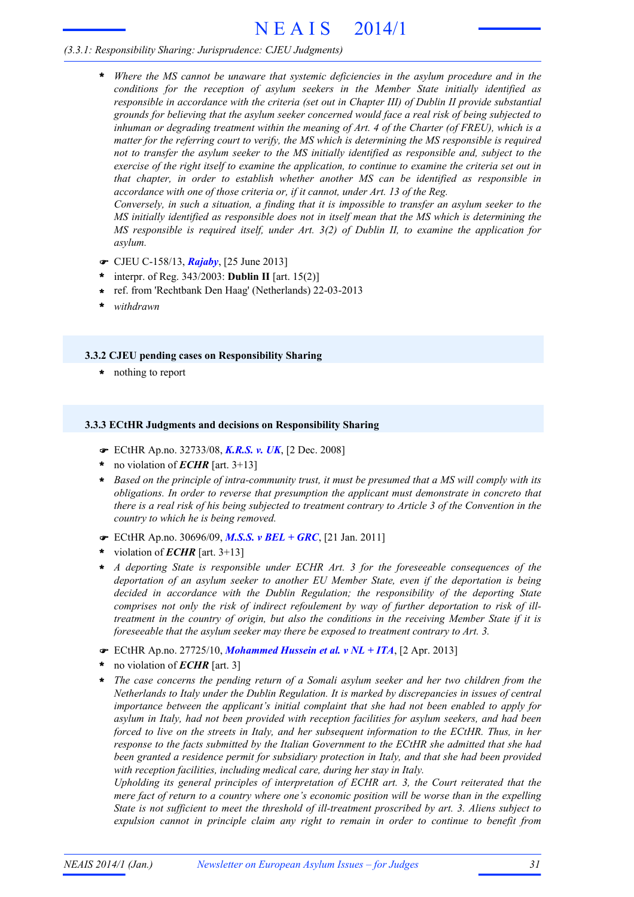# N E A I S 2014/1

# *(3.3.1: Responsibility Sharing: Jurisprudence: CJEU Judgments)*

*Where the MS cannot be unaware that systemic deficiencies in the asylum procedure and in the conditions for the reception of asylum seekers in the Member State initially identified as responsible in accordance with the criteria (set out in Chapter III) of Dublin II provide substantial grounds for believing that the asylum seeker concerned would face a real risk of being subjected to inhuman or degrading treatment within the meaning of Art. 4 of the Charter (of FREU), which is a matter for the referring court to verify, the MS which is determining the MS responsible is required not to transfer the asylum seeker to the MS initially identified as responsible and, subject to the* exercise of the right itself to examine the application, to continue to examine the criteria set out in *that chapter, in order to establish whether another MS can be identified as responsible in accordance with one of those criteria or, if it cannot, under Art. 13 of the Reg.* **\***

Conversely, in such a situation, a finding that it is impossible to transfer an asylum seeker to the *MS initially identified as responsible does not in itself mean that the MS which is determining the MS responsible is required itself, under Art. 3(2) of Dublin II, to examine the application for asylum.*

- F CJEU C-158/13, *Rajaby*, [25 June 2013]
- interpr. of Reg. 343/2003: **Dublin II** [art. 15(2)] **\***
- ref. from 'Rechtbank Den Haag' (Netherlands) 22-03-2013 **\***
- **\*** *withdrawn*

### **3.3.2 CJEU pending cases on Responsibility Sharing**

**\*** nothing to report

### **3.3.3 ECtHR Judgments and decisions on Responsibility Sharing**

- F ECtHR Ap.no. 32733/08, *K.R.S. v. UK*, [2 Dec. 2008]
- no violation of *ECHR* [art. 3+13] **\***
- \* Based on the principle of intra-community trust, it must be presumed that a MS will comply with its *obligations. In order to reverse that presumption the applicant must demonstrate in concreto that* there is a real risk of his being subjected to treatment contrary to Article 3 of the Convention in the *country to which he is being removed.*
- F ECtHR Ap.no. 30696/09, *M.S.S. v BEL + GRC*, [21 Jan. 2011]
- violation of *ECHR* [art. 3+13] **\***
- *A deporting State is responsible under ECHR Art. 3 for the foreseeable consequences of the deportation of an asylum seeker to another EU Member State, even if the deportation is being decided in accordance with the Dublin Regulation; the responsibility of the deporting State comprises not only the risk of indirect refoulement by way of further deportation to risk of illtreatment in the country of origin, but also the conditions in the receiving Member State if it is foreseeable that the asylum seeker may there be exposed to treatment contrary to Art. 3.* **\***
- F ECtHR Ap.no. 27725/10, *Mohammed Hussein et al. v NL + ITA*, [2 Apr. 2013]
- no violation of *ECHR* [art. 3] **\***
- *The case concerns the pending return of a Somali asylum seeker and her two children from the Netherlands to Italy under the Dublin Regulation. It is marked by discrepancies in issues of central importance between the applicant's initial complaint that she had not been enabled to apply for asylum in Italy, had not been provided with reception facilities for asylum seekers, and had been forced to live on the streets in Italy, and her subsequent information to the ECtHR. Thus, in her response to the facts submitted by the Italian Government to the ECtHR she admitted that she had been granted a residence permit for subsidiary protection in Italy, and that she had been provided with reception facilities, including medical care, during her stay in Italy.* **\***

*Upholding its general principles of interpretation of ECHR art. 3, the Court reiterated that the mere fact of return to a country where one's economic position will be worse than in the expelling State is not sufficient to meet the threshold of ill-treatment proscribed by art. 3. Aliens subject to expulsion cannot in principle claim any right to remain in order to continue to benefit from*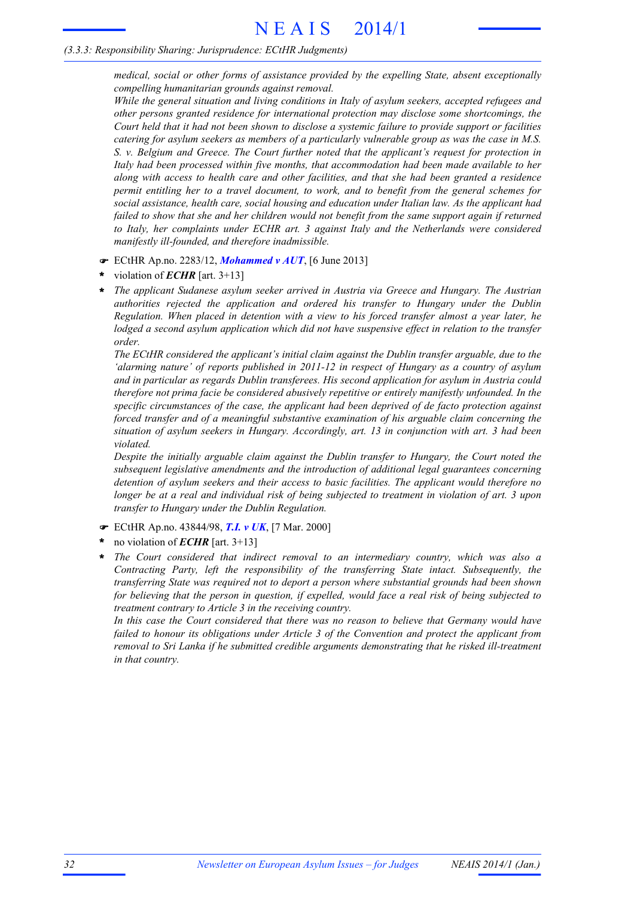## *(3.3.3: Responsibility Sharing: Jurisprudence: ECtHR Judgments)*

*medical, social or other forms of assistance provided by the expelling State, absent exceptionally compelling humanitarian grounds against removal.*

*While the general situation and living conditions in Italy of asylum seekers, accepted refugees and other persons granted residence for international protection may disclose some shortcomings, the* Court held that it had not been shown to disclose a systemic failure to provide support or facilities *catering for asylum seekers as members of a particularly vulnerable group as was the case in M.S. S. v. Belgium and Greece. The Court further noted that the applicant's request for protection in Italy had been processed within five months, that accommodation had been made available to her along with access to health care and other facilities, and that she had been granted a residence permit entitling her to a travel document, to work, and to benefit from the general schemes for social assistance, health care, social housing and education under Italian law. As the applicant had failed to show that she and her children would not benefit from the same support again if returned to Italy, her complaints under ECHR art. 3 against Italy and the Netherlands were considered manifestly ill-founded, and therefore inadmissible.*

- F ECtHR Ap.no. 2283/12, *Mohammed v AUT*, [6 June 2013]
- violation of *ECHR* [art. 3+13] **\***
- *The applicant Sudanese asylum seeker arrived in Austria via Greece and Hungary. The Austrian authorities rejected the application and ordered his transfer to Hungary under the Dublin Regulation. When placed in detention with a view to his forced transfer almost a year later, he lodged a second asylum application which did not have suspensive effect in relation to the transfer order.* **\***

*The ECtHR considered the applicant's initial claim against the Dublin transfer arguable, due to the 'alarming nature' of reports published in 2011-12 in respect of Hungary as a country of asylum and in particular as regards Dublin transferees. His second application for asylum in Austria could therefore not prima facie be considered abusively repetitive or entirely manifestly unfounded. In the specific circumstances of the case, the applicant had been deprived of de facto protection against forced transfer and of a meaningful substantive examination of his arguable claim concerning the situation of asylum seekers in Hungary. Accordingly, art. 13 in conjunction with art. 3 had been violated.*

*Despite the initially arguable claim against the Dublin transfer to Hungary, the Court noted the subsequent legislative amendments and the introduction of additional legal guarantees concerning detention of asylum seekers and their access to basic facilities. The applicant would therefore no* longer be at a real and individual risk of being subjected to treatment in violation of art. 3 upon *transfer to Hungary under the Dublin Regulation.*

- F ECtHR Ap.no. 43844/98, *T.I. v UK*, [7 Mar. 2000]
- no violation of *ECHR* [art. 3+13] **\***
- *The Court considered that indirect removal to an intermediary country, which was also a Contracting Party, left the responsibility of the transferring State intact. Subsequently, the transferring State was required not to deport a person where substantial grounds had been shown* for believing that the person in question, if expelled, would face a real risk of being subjected to *treatment contrary to Article 3 in the receiving country.* **\***

*In this case the Court considered that there was no reason to believe that Germany would have failed to honour its obligations under Article 3 of the Convention and protect the applicant from removal to Sri Lanka if he submitted credible arguments demonstrating that he risked ill-treatment in that country.*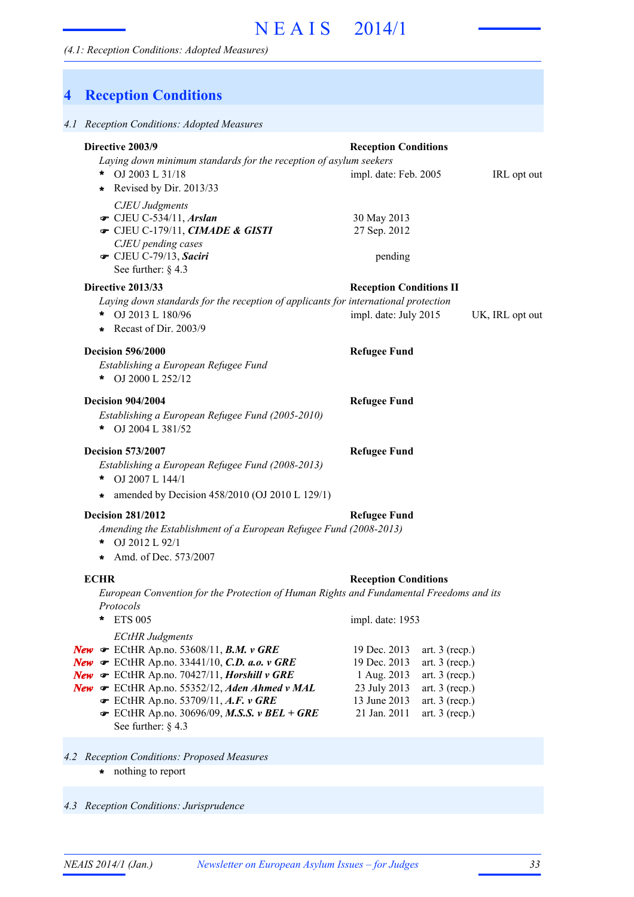# **4 Reception Conditions**

| 4.1 Reception Conditions: Adopted Measures                                                                                                                                                                                                                                                                                                                                                                               |                                                                                             |                                                                                                                      |                 |
|--------------------------------------------------------------------------------------------------------------------------------------------------------------------------------------------------------------------------------------------------------------------------------------------------------------------------------------------------------------------------------------------------------------------------|---------------------------------------------------------------------------------------------|----------------------------------------------------------------------------------------------------------------------|-----------------|
| Directive 2003/9<br>Laying down minimum standards for the reception of asylum seekers<br>* $OJ 2003 L 31/18$<br>Revised by Dir. 2013/33<br>$\star$                                                                                                                                                                                                                                                                       | <b>Reception Conditions</b><br>impl. date: Feb. 2005                                        |                                                                                                                      | IRL opt out     |
| <b>CJEU</b> Judgments<br>$\bullet$ CJEU C-534/11, Arslan<br>CJEU C-179/11, CIMADE & GISTI<br>CJEU pending cases<br>CJEU C-79/13, Saciri<br>See further: $\S$ 4.3                                                                                                                                                                                                                                                         | 30 May 2013<br>27 Sep. 2012<br>pending                                                      |                                                                                                                      |                 |
| Directive 2013/33<br>Laying down standards for the reception of applicants for international protection<br>* OJ 2013 L 180/96<br>Recast of Dir. $2003/9$                                                                                                                                                                                                                                                                 | <b>Reception Conditions II</b><br>impl. date: July 2015                                     |                                                                                                                      | UK, IRL opt out |
| <b>Decision 596/2000</b><br>Establishing a European Refugee Fund<br>OJ 2000 L 252/12<br>*                                                                                                                                                                                                                                                                                                                                | <b>Refugee Fund</b>                                                                         |                                                                                                                      |                 |
| <b>Decision 904/2004</b><br>Establishing a European Refugee Fund (2005-2010)<br>* OJ 2004 L 381/52                                                                                                                                                                                                                                                                                                                       | <b>Refugee Fund</b>                                                                         |                                                                                                                      |                 |
| <b>Decision 573/2007</b><br>Establishing a European Refugee Fund (2008-2013)<br>OJ 2007 L 144/1<br>*<br>* amended by Decision 458/2010 (OJ 2010 L 129/1)                                                                                                                                                                                                                                                                 | <b>Refugee Fund</b>                                                                         |                                                                                                                      |                 |
| <b>Decision 281/2012</b><br>Amending the Establishment of a European Refugee Fund (2008-2013)<br>OJ 2012 L 92/1<br>*<br>* Amd. of Dec. $573/2007$                                                                                                                                                                                                                                                                        | <b>Refugee Fund</b>                                                                         |                                                                                                                      |                 |
| <b>ECHR</b><br>European Convention for the Protection of Human Rights and Fundamental Freedoms and its<br>Protocols<br><b>ETS 005</b><br>$\ast$                                                                                                                                                                                                                                                                          | <b>Reception Conditions</b><br>impl. date: 1953                                             |                                                                                                                      |                 |
| <b>ECtHR Judgments</b><br>New $\mathcal F$ ECtHR Ap.no. 53608/11, B.M. v GRE<br><b>New</b> $\mathcal F$ ECtHR Ap.no. 33441/10, <i>C.D. a.o.</i> v GRE<br>New $\bullet$ ECtHR Ap.no. 70427/11, Horshill v GRE<br>New $\mathcal \bullet$ ECtHR Ap.no. 55352/12, Aden Ahmed v MAL<br>$\bullet$ ECtHR Ap.no. 53709/11, A.F. v GRE<br>$\blacktriangleright$ ECtHR Ap.no. 30696/09, M.S.S. v BEL + GRE<br>See further: $§$ 4.3 | 19 Dec. 2013<br>19 Dec. 2013<br>1 Aug. 2013<br>23 July 2013<br>13 June 2013<br>21 Jan. 2011 | art. $3$ (recp.)<br>art. $3$ (recp.)<br>art. $3$ (recp.)<br>art. $3$ (recp.)<br>art. $3$ (recp.)<br>art. $3$ (recp.) |                 |
| 4.2 Reception Conditions: Proposed Measures<br>nothing to report<br>$\star$                                                                                                                                                                                                                                                                                                                                              |                                                                                             |                                                                                                                      |                 |

*4.3 Reception Conditions: Jurisprudence*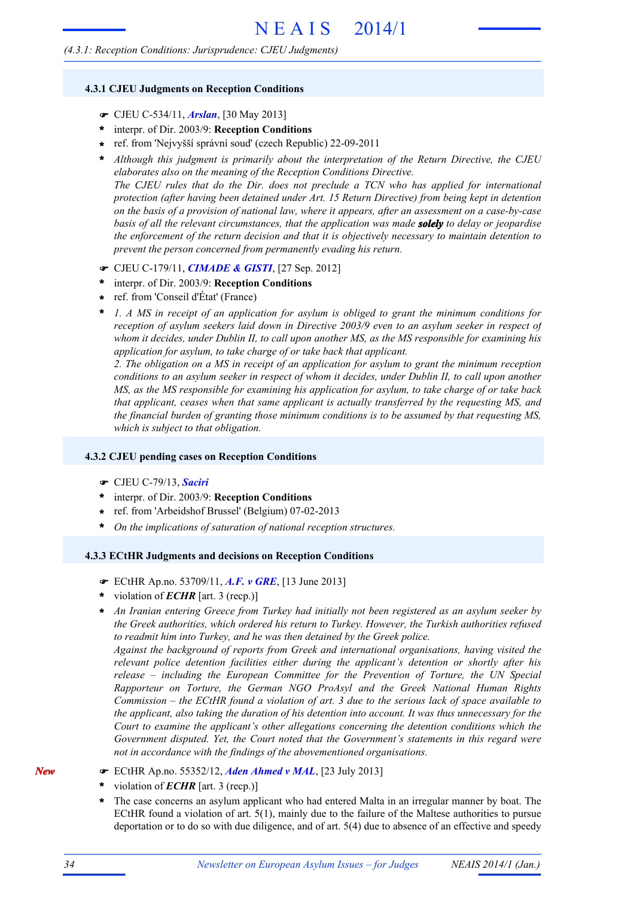### *(4.3.1: Reception Conditions: Jurisprudence: CJEU Judgments)*

#### **4.3.1 CJEU Judgments on Reception Conditions**

- F CJEU C-534/11, *Arslan*, [30 May 2013]
- interpr. of Dir. 2003/9: **Reception Conditions \***
- ref. from 'Nejvyšší správní soud' (czech Republic) 22-09-2011 **\***
- *Although this judgment is primarily about the interpretation of the Return Directive, the CJEU elaborates also on the meaning of the Reception Conditions Directive.* **\***

*The CJEU rules that do the Dir. does not preclude a TCN who has applied for international protection (after having been detained under Art. 15 Return Directive) from being kept in detention* on the basis of a provision of national law, where it appears, after an assessment on a case-by-case *basis of all the relevant circumstances, that the application was made solely to delay or jeopardise the enforcement of the return decision and that it is objectively necessary to maintain detention to prevent the person concerned from permanently evading his return.*

- F CJEU C-179/11, *CIMADE & GISTI*, [27 Sep. 2012]
- interpr. of Dir. 2003/9: **Reception Conditions \***
- ref. from 'Conseil d'État' (France) **\***
- *1. A MS in receipt of an application for asylum is obliged to grant the minimum conditions for reception of asylum seekers laid down in Directive 2003/9 even to an asylum seeker in respect of whom it decides, under Dublin II, to call upon another MS, as the MS responsible for examining his application for asylum, to take charge of or take back that applicant.* **\***

*2. The obligation on a MS in receipt of an application for asylum to grant the minimum reception* conditions to an asylum seeker in respect of whom it decides, under Dublin II, to call upon another *MS, as the MS responsible for examining his application for asylum, to take charge of or take back that applicant, ceases when that same applicant is actually transferred by the requesting MS, and the financial burden of granting those minimum conditions is to be assumed by that requesting MS, which is subject to that obligation.*

#### **4.3.2 CJEU pending cases on Reception Conditions**

- F CJEU C-79/13, *Saciri*
- interpr. of Dir. 2003/9: **Reception Conditions \***
- ref. from 'Arbeidshof Brussel' (Belgium) 07-02-2013 **\***
- **\*** *On the implications of saturation of national reception structures.*

# **4.3.3 ECtHR Judgments and decisions on Reception Conditions**

- F ECtHR Ap.no. 53709/11, *A.F. v GRE*, [13 June 2013]
- violation of *ECHR* [art. 3 (recp.)] **\***
- *An Iranian entering Greece from Turkey had initially not been registered as an asylum seeker by* **\*** *the Greek authorities, which ordered his return to Turkey. However, the Turkish authorities refused to readmit him into Turkey, and he was then detained by the Greek police.*

*Against the background of reports from Greek and international organisations, having visited the relevant police detention facilities either during the applicant's detention or shortly after his release – including the European Committee for the Prevention of Torture, the UN Special Rapporteur on Torture, the German NGO ProAsyl and the Greek National Human Rights* Commission – the ECtHR found a violation of art. 3 due to the serious lack of space available to *the applicant, also taking the duration of his detention into account. It was thus unnecessary for the Court to examine the applicant's other allegations concerning the detention conditions which the Government disputed. Yet, the Court noted that the Government's statements in this regard were not in accordance with the findings of the abovementioned organisations.*

- F ECtHR Ap.no. 55352/12, *Aden Ahmed v MAL*, [23 July 2013]
- violation of *ECHR* [art. 3 (recp.)] **\***
- The case concerns an asylum applicant who had entered Malta in an irregular manner by boat. The ECtHR found a violation of art. 5(1), mainly due to the failure of the Maltese authorities to pursue deportation or to do so with due diligence, and of art. 5(4) due to absence of an effective and speedy **\***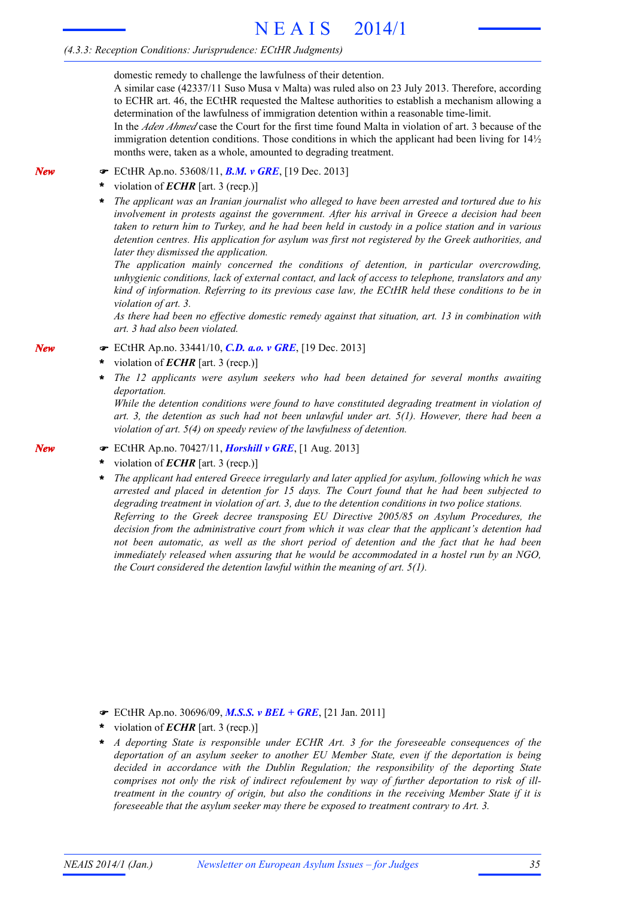## *(4.3.3: Reception Conditions: Jurisprudence: ECtHR Judgments)*

domestic remedy to challenge the lawfulness of their detention.

A similar case (42337/11 Suso Musa v Malta) was ruled also on 23 July 2013. Therefore, according to ECHR art. 46, the ECtHR requested the Maltese authorities to establish a mechanism allowing a determination of the lawfulness of immigration detention within a reasonable time-limit.

In the *Aden Ahmed* case the Court for the first time found Malta in violation of art. 3 because of the immigration detention conditions. Those conditions in which the applicant had been living for  $14\frac{1}{2}$ months were, taken as a whole, amounted to degrading treatment.

- F ECtHR Ap.no. 53608/11, *B.M. v GRE*, [19 Dec. 2013]
- violation of *ECHR* [art. 3 (recp.)] **\***
- \* The applicant was an Iranian journalist who alleged to have been arrested and tortured due to his *involvement in protests against the government. After his arrival in Greece a decision had been* taken to return him to Turkey, and he had been held in custody in a police station and in various *detention centres. His application for asylum was first not registered by the Greek authorities, and later they dismissed the application.*

*The application mainly concerned the conditions of detention, in particular overcrowding, unhygienic conditions, lack of external contact, and lack of access to telephone, translators and any kind of information. Referring to its previous case law, the ECtHR held these conditions to be in violation of art. 3.*

*As there had been no effective domestic remedy against that situation, art. 13 in combination with art. 3 had also been violated.*

- F ECtHR Ap.no. 33441/10, *C.D. a.o. v GRE*, [19 Dec. 2013]
- violation of *ECHR* [art. 3 (recp.)] **\***
- *The 12 applicants were asylum seekers who had been detained for several months awaiting deportation.* **\***

*While the detention conditions were found to have constituted degrading treatment in violation of art. 3, the detention as such had not been unlawful under art. 5(1). However, there had been a violation of art. 5(4) on speedy review of the lawfulness of detention.*

- F ECtHR Ap.no. 70427/11, *Horshill v GRE*, [1 Aug. 2013]
- violation of *ECHR* [art. 3 (recp.)] **\***
- *The applicant had entered Greece irregularly and later applied for asylum, following which he was arrested and placed in detention for 15 days. The Court found that he had been subjected to degrading treatment in violation of art. 3, due to the detention conditions in two police stations. Referring to the Greek decree transposing EU Directive 2005/85 on Asylum Procedures, the decision from the administrative court from which it was clear that the applicant's detention had not been automatic, as well as the short period of detention and the fact that he had been immediately released when assuring that he would be accommodated in a hostel run by an NGO, the Court considered the detention lawful within the meaning of art. 5(1).* **\***

- F ECtHR Ap.no. 30696/09, *M.S.S. v BEL + GRE*, [21 Jan. 2011]
- violation of *ECHR* [art. 3 (recp.)] **\***
- *A deporting State is responsible under ECHR Art. 3 for the foreseeable consequences of the deportation of an asylum seeker to another EU Member State, even if the deportation is being decided in accordance with the Dublin Regulation; the responsibility of the deporting State comprises not only the risk of indirect refoulement by way of further deportation to risk of illtreatment in the country of origin, but also the conditions in the receiving Member State if it is foreseeable that the asylum seeker may there be exposed to treatment contrary to Art. 3.* **\***

*New*

*New*